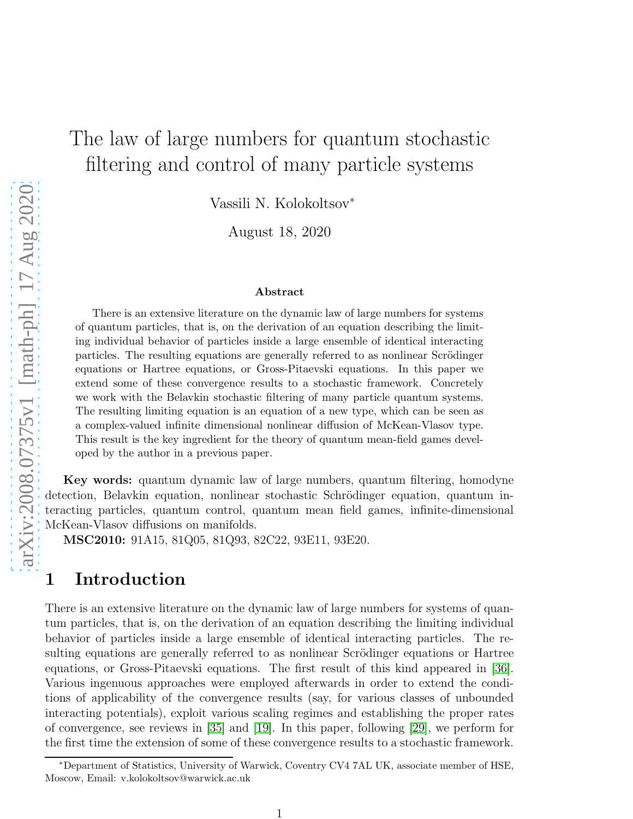# The law of large numbers for quantum stochastic filtering and control of many particle systems

Vassili N. Kolokoltsov<sup>∗</sup>

August 18, 2020

#### Abstract

There is an extensive literature on the dynamic law of large numbers for systems of quantum particles, that is, on the derivation of an equation describing the limiting individual behavior of particles inside a large ensemble of identical interacting particles. The resulting equations are generally referred to as nonlinear Scrödinger equations or Hartree equations, or Gross-Pitaevski equations. In this paper we extend some of these convergence results to a stochastic framework. Concretely we work with the Belavkin stochastic filtering of many particle quantum systems. The resulting limiting equation is an equation of a new type, which can be seen as a complex-valued infinite dimensional nonlinear diffusion of McKean-Vlasov type. This result is the key ingredient for the theory of quantum mean-field games developed by the author in a previous paper.

Key words: quantum dynamic law of large numbers, quantum filtering, homodyne detection, Belavkin equation, nonlinear stochastic Schrödinger equation, quantum interacting particles, quantum control, quantum mean field games, infinite-dimensional McKean-Vlasov diffusions on manifolds.

MSC2010: 91A15, 81Q05, 81Q93, 82C22, 93E11, 93E20.

### 1 Introduction

There is an extensive literature on the dynamic law of large numbers for systems of quantum particles, that is, on the derivation of an equation describing the limiting individual behavior of particles inside a large ensemble of identical interacting particles. The resulting equations are generally referred to as nonlinear Scrödinger equations or Hartree equations, or Gross-Pitaevski equations. The first result of this kind appeared in [\[36\]](#page-22-0). Various ingenuous approaches were employed afterwards in order to extend the conditions of applicability of the convergence results (say, for various classes of unbounded interacting potentials), exploit various scaling regimes and establishing the proper rates of convergence, see reviews in [\[35\]](#page-22-1) and [\[19\]](#page-21-0). In this paper, following [\[29\]](#page-21-1), we perform for the first time the extension of some of these convergence results to a stochastic framework.

<sup>∗</sup>Department of Statistics, University of Warwick, Coventry CV4 7AL UK, associate member of HSE, Moscow, Email: v.kolokoltsov@warwick.ac.uk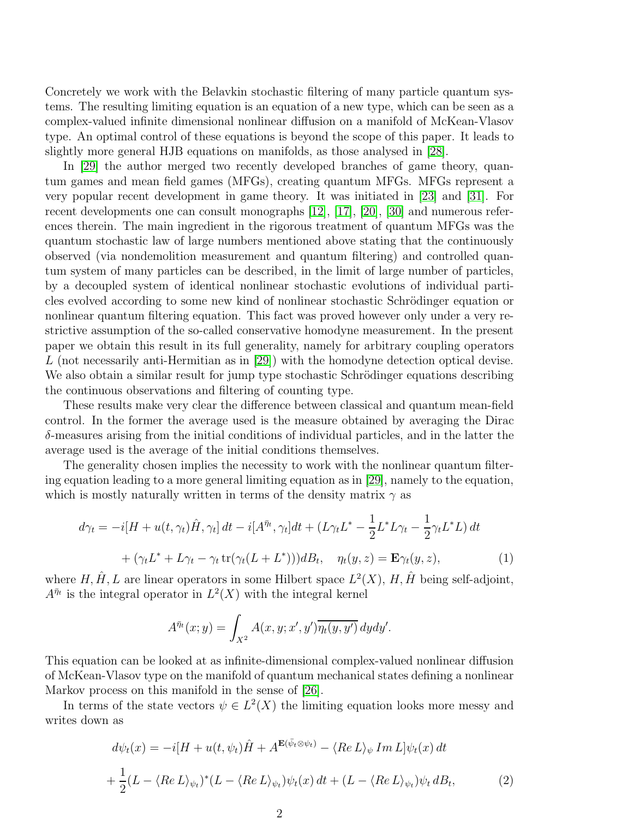Concretely we work with the Belavkin stochastic filtering of many particle quantum systems. The resulting limiting equation is an equation of a new type, which can be seen as a complex-valued infinite dimensional nonlinear diffusion on a manifold of McKean-Vlasov type. An optimal control of these equations is beyond the scope of this paper. It leads to slightly more general HJB equations on manifolds, as those analysed in [\[28\]](#page-21-2).

In [\[29\]](#page-21-1) the author merged two recently developed branches of game theory, quantum games and mean field games (MFGs), creating quantum MFGs. MFGs represent a very popular recent development in game theory. It was initiated in [\[23\]](#page-21-3) and [\[31\]](#page-22-2). For recent developments one can consult monographs [\[12\]](#page-20-0), [\[17\]](#page-21-4), [\[20\]](#page-21-5), [\[30\]](#page-21-6) and numerous references therein. The main ingredient in the rigorous treatment of quantum MFGs was the quantum stochastic law of large numbers mentioned above stating that the continuously observed (via nondemolition measurement and quantum filtering) and controlled quantum system of many particles can be described, in the limit of large number of particles, by a decoupled system of identical nonlinear stochastic evolutions of individual particles evolved according to some new kind of nonlinear stochastic Schrödinger equation or nonlinear quantum filtering equation. This fact was proved however only under a very restrictive assumption of the so-called conservative homodyne measurement. In the present paper we obtain this result in its full generality, namely for arbitrary coupling operators L (not necessarily anti-Hermitian as in [\[29\]](#page-21-1)) with the homodyne detection optical devise. We also obtain a similar result for jump type stochastic Schrödinger equations describing the continuous observations and filtering of counting type.

These results make very clear the difference between classical and quantum mean-field control. In the former the average used is the measure obtained by averaging the Dirac  $\delta$ -measures arising from the initial conditions of individual particles, and in the latter the average used is the average of the initial conditions themselves.

The generality chosen implies the necessity to work with the nonlinear quantum filtering equation leading to a more general limiting equation as in [\[29\]](#page-21-1), namely to the equation, which is mostly naturally written in terms of the density matrix  $\gamma$  as

<span id="page-1-1"></span>
$$
d\gamma_t = -i[H + u(t, \gamma_t)\hat{H}, \gamma_t]dt - i[A^{\bar{\eta}_t}, \gamma_t]dt + (L\gamma_t L^* - \frac{1}{2}L^*L\gamma_t - \frac{1}{2}\gamma_t L^*L)dt
$$
  
+ 
$$
(\gamma_t L^* + L\gamma_t - \gamma_t \operatorname{tr}(\gamma_t (L + L^*)))dB_t, \quad \eta_t(y, z) = \mathbf{E}\gamma_t(y, z),
$$
 (1)

where  $H, \hat{H}, L$  are linear operators in some Hilbert space  $L^2(X)$ ,  $H, \hat{H}$  being self-adjoint,  $A^{\bar{\eta}_t}$  is the integral operator in  $L^2(X)$  with the integral kernel

$$
A^{\bar{\eta}_t}(x;y) = \int_{X^2} A(x,y;x',y') \overline{\eta_t(y,y')} \, dydy'.
$$

This equation can be looked at as infinite-dimensional complex-valued nonlinear diffusion of McKean-Vlasov type on the manifold of quantum mechanical states defining a nonlinear Markov process on this manifold in the sense of [\[26\]](#page-21-7).

In terms of the state vectors  $\psi \in L^2(X)$  the limiting equation looks more messy and writes down as

<span id="page-1-0"></span>
$$
d\psi_t(x) = -i[H + u(t, \psi_t)\hat{H} + A^{\mathbf{E}(\bar{\psi}_t \otimes \psi_t)} - \langle Re L \rangle_{\psi} Im L] \psi_t(x) dt
$$
  
+ 
$$
\frac{1}{2}(L - \langle Re L \rangle_{\psi_t})^*(L - \langle Re L \rangle_{\psi_t}) \psi_t(x) dt + (L - \langle Re L \rangle_{\psi_t}) \psi_t dB_t,
$$
(2)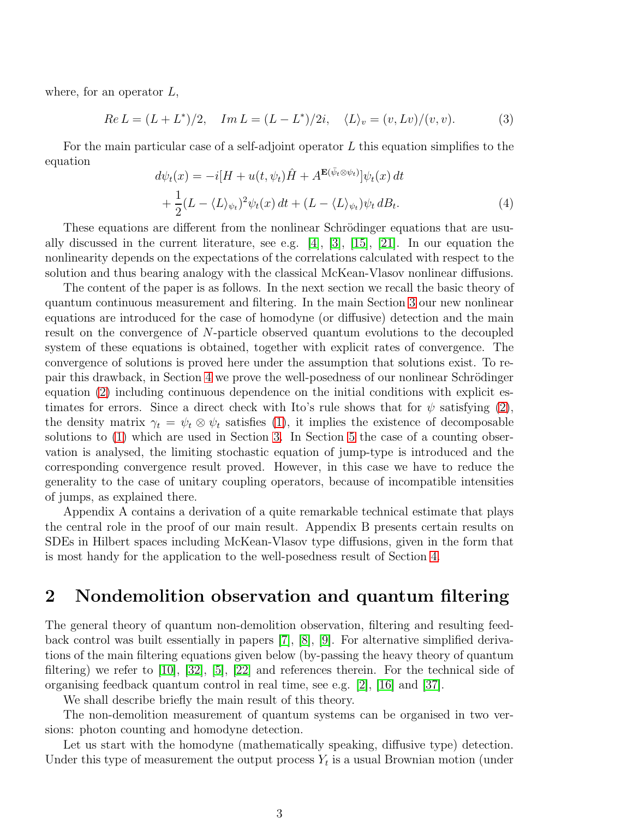where, for an operator  $L$ ,

$$
Re L = (L + L^*)/2, \quad Im L = (L - L^*)/2i, \quad \langle L \rangle_v = (v, Lv)/(v, v).
$$
 (3)

For the main particular case of a self-adjoint operator  $L$  this equation simplifies to the equation

$$
d\psi_t(x) = -i[H + u(t, \psi_t)\hat{H} + A^{\mathbf{E}(\bar{\psi}_t \otimes \psi_t)}]\psi_t(x) dt + \frac{1}{2}(L - \langle L \rangle_{\psi_t})^2 \psi_t(x) dt + (L - \langle L \rangle_{\psi_t})\psi_t dB_t.
$$
 (4)

These equations are different from the nonlinear Schrödinger equations that are usually discussed in the current literature, see e.g. [\[4\]](#page-20-1), [\[3\]](#page-20-2), [\[15\]](#page-21-8), [\[21\]](#page-21-9). In our equation the nonlinearity depends on the expectations of the correlations calculated with respect to the solution and thus bearing analogy with the classical McKean-Vlasov nonlinear diffusions.

The content of the paper is as follows. In the next section we recall the basic theory of quantum continuous measurement and filtering. In the main Section [3](#page-5-0) our new nonlinear equations are introduced for the case of homodyne (or diffusive) detection and the main result on the convergence of N-particle observed quantum evolutions to the decoupled system of these equations is obtained, together with explicit rates of convergence. The convergence of solutions is proved here under the assumption that solutions exist. To re-pair this drawback, in Section [4](#page-10-0) we prove the well-posedness of our nonlinear Schrödinger equation [\(2\)](#page-1-0) including continuous dependence on the initial conditions with explicit estimates for errors. Since a direct check with Ito's rule shows that for  $\psi$  satisfying [\(2\)](#page-1-0), the density matrix  $\gamma_t = \psi_t \otimes \psi_t$  satisfies [\(1\)](#page-1-1), it implies the existence of decomposable solutions to [\(1\)](#page-1-1) which are used in Section [3.](#page-5-0) In Section [5](#page-12-0) the case of a counting observation is analysed, the limiting stochastic equation of jump-type is introduced and the corresponding convergence result proved. However, in this case we have to reduce the generality to the case of unitary coupling operators, because of incompatible intensities of jumps, as explained there.

Appendix A contains a derivation of a quite remarkable technical estimate that plays the central role in the proof of our main result. Appendix B presents certain results on SDEs in Hilbert spaces including McKean-Vlasov type diffusions, given in the form that is most handy for the application to the well-posedness result of Section [4.](#page-10-0)

#### 2 Nondemolition observation and quantum filtering

The general theory of quantum non-demolition observation, filtering and resulting feedback control was built essentially in papers [\[7\]](#page-20-3), [\[8\]](#page-20-4), [\[9\]](#page-20-5). For alternative simplified derivations of the main filtering equations given below (by-passing the heavy theory of quantum filtering) we refer to [\[10\]](#page-20-6), [\[32\]](#page-22-3), [\[5\]](#page-20-7), [\[22\]](#page-21-10) and references therein. For the technical side of organising feedback quantum control in real time, see e.g. [\[2\]](#page-20-8), [\[16\]](#page-21-11) and [\[37\]](#page-22-4).

We shall describe briefly the main result of this theory.

The non-demolition measurement of quantum systems can be organised in two versions: photon counting and homodyne detection.

Let us start with the homodyne (mathematically speaking, diffusive type) detection. Under this type of measurement the output process  $Y_t$  is a usual Brownian motion (under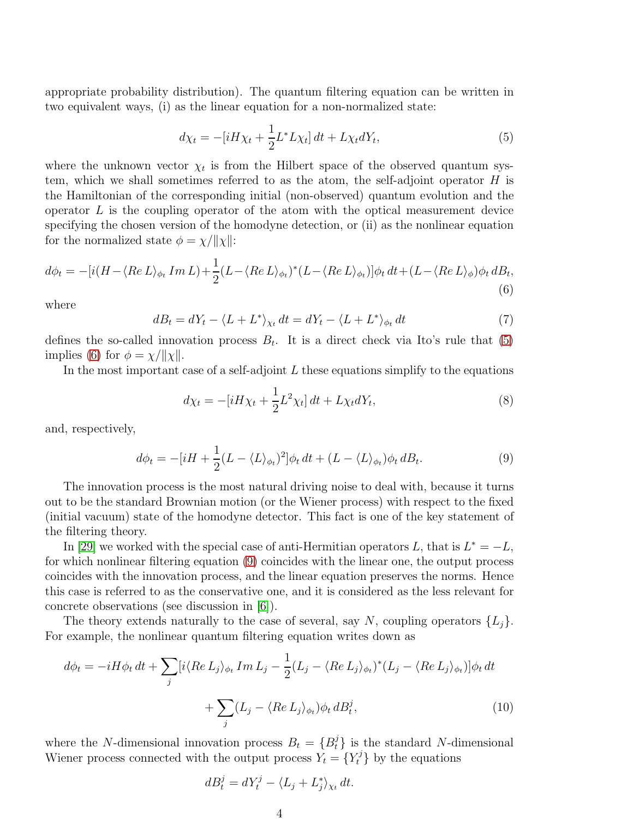appropriate probability distribution). The quantum filtering equation can be written in two equivalent ways, (i) as the linear equation for a non-normalized state:

<span id="page-3-0"></span>
$$
d\chi_t = -[iH\chi_t + \frac{1}{2}L^*L\chi_t]dt + L\chi_t dY_t,
$$
\n(5)

where the unknown vector  $\chi_t$  is from the Hilbert space of the observed quantum system, which we shall sometimes referred to as the atom, the self-adjoint operator  $H$  is the Hamiltonian of the corresponding initial (non-observed) quantum evolution and the operator  $L$  is the coupling operator of the atom with the optical measurement device specifying the chosen version of the homodyne detection, or (ii) as the nonlinear equation for the normalized state  $\phi = \chi/||\chi||$ :

<span id="page-3-1"></span>
$$
d\phi_t = -[i(H - \langle Re L \rangle_{\phi_t} Im L) + \frac{1}{2}(L - \langle Re L \rangle_{\phi_t})^*(L - \langle Re L \rangle_{\phi_t})]\phi_t dt + (L - \langle Re L \rangle_{\phi})\phi_t dB_t,
$$
\n(6)

where

$$
dB_t = dY_t - \langle L + L^* \rangle_{\chi_t} dt = dY_t - \langle L + L^* \rangle_{\phi_t} dt \tag{7}
$$

defines the so-called innovation process  $B_t$ . It is a direct check via Ito's rule that [\(5\)](#page-3-0) implies [\(6\)](#page-3-1) for  $\phi = \chi/||\chi||$ .

In the most important case of a self-adjoint  $L$  these equations simplify to the equations

$$
d\chi_t = -[iH\chi_t + \frac{1}{2}L^2\chi_t]dt + L\chi_t dY_t,
$$
\n(8)

and, respectively,

<span id="page-3-2"></span>
$$
d\phi_t = -[iH + \frac{1}{2}(L - \langle L \rangle_{\phi_t})^2] \phi_t dt + (L - \langle L \rangle_{\phi_t}) \phi_t dB_t.
$$
\n(9)

The innovation process is the most natural driving noise to deal with, because it turns out to be the standard Brownian motion (or the Wiener process) with respect to the fixed (initial vacuum) state of the homodyne detector. This fact is one of the key statement of the filtering theory.

In [\[29\]](#page-21-1) we worked with the special case of anti-Hermitian operators L, that is  $L^* = -L$ , for which nonlinear filtering equation [\(9\)](#page-3-2) coincides with the linear one, the output process coincides with the innovation process, and the linear equation preserves the norms. Hence this case is referred to as the conservative one, and it is considered as the less relevant for concrete observations (see discussion in [\[6\]](#page-20-9)).

The theory extends naturally to the case of several, say N, coupling operators  $\{L_i\}$ . For example, the nonlinear quantum filtering equation writes down as

$$
d\phi_t = -iH\phi_t dt + \sum_j \left[ i \langle Re L_j \rangle_{\phi_t} Im L_j - \frac{1}{2} (L_j - \langle Re L_j \rangle_{\phi_t})^* (L_j - \langle Re L_j \rangle_{\phi_t}) \right] \phi_t dt
$$

$$
+ \sum_j (L_j - \langle Re L_j \rangle_{\phi_t}) \phi_t dB_t^j, \tag{10}
$$

where the N-dimensional innovation process  $B_t = \{B_t^j\}$  is the standard N-dimensional Wiener process connected with the output process  $Y_t = \{Y_t^j\}$  by the equations

<span id="page-3-3"></span>
$$
dB_t^j = dY_t^j - \langle L_j + L_j^* \rangle_{\chi_t} dt.
$$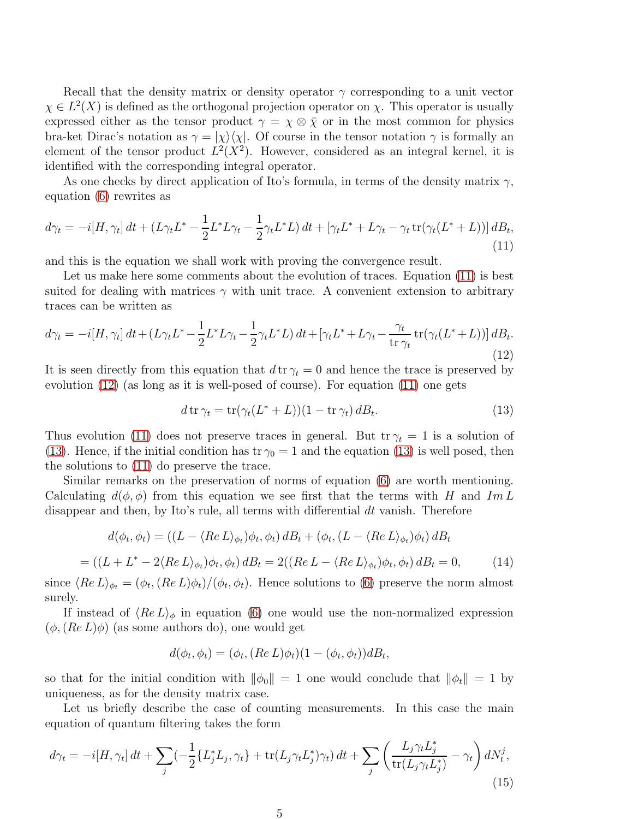Recall that the density matrix or density operator  $\gamma$  corresponding to a unit vector  $\chi \in L^2(X)$  is defined as the orthogonal projection operator on  $\chi$ . This operator is usually expressed either as the tensor product  $\gamma = \chi \otimes \overline{\chi}$  or in the most common for physics bra-ket Dirac's notation as  $\gamma = |\chi\rangle\langle\chi|$ . Of course in the tensor notation  $\gamma$  is formally an element of the tensor product  $L^2(X^2)$ . However, considered as an integral kernel, it is identified with the corresponding integral operator.

As one checks by direct application of Ito's formula, in terms of the density matrix  $\gamma$ , equation [\(6\)](#page-3-1) rewrites as

<span id="page-4-0"></span>
$$
d\gamma_t = -i[H, \gamma_t] dt + (L\gamma_t L^* - \frac{1}{2}L^* L\gamma_t - \frac{1}{2}\gamma_t L^* L) dt + [\gamma_t L^* + L\gamma_t - \gamma_t \operatorname{tr}(\gamma_t (L^* + L))] dB_t,
$$
\n(11)

and this is the equation we shall work with proving the convergence result.

Let us make here some comments about the evolution of traces. Equation [\(11\)](#page-4-0) is best suited for dealing with matrices  $\gamma$  with unit trace. A convenient extension to arbitrary traces can be written as

<span id="page-4-1"></span>
$$
d\gamma_t = -i[H, \gamma_t] dt + (L\gamma_t L^* - \frac{1}{2} L^* L \gamma_t - \frac{1}{2} \gamma_t L^* L) dt + [\gamma_t L^* + L \gamma_t - \frac{\gamma_t}{\text{tr } \gamma_t} tr(\gamma_t (L^* + L))] dB_t.
$$
\n(12)

It is seen directly from this equation that  $d \text{tr} \gamma_t = 0$  and hence the trace is preserved by evolution [\(12\)](#page-4-1) (as long as it is well-posed of course). For equation [\(11\)](#page-4-0) one gets

<span id="page-4-2"></span>
$$
d \operatorname{tr} \gamma_t = \operatorname{tr}(\gamma_t (L^* + L))(1 - \operatorname{tr} \gamma_t) \, dB_t. \tag{13}
$$

Thus evolution [\(11\)](#page-4-0) does not preserve traces in general. But  $tr \gamma_t = 1$  is a solution of [\(13\)](#page-4-2). Hence, if the initial condition has tr  $\gamma_0 = 1$  and the equation [\(13\)](#page-4-2) is well posed, then the solutions to [\(11\)](#page-4-0) do preserve the trace.

Similar remarks on the preservation of norms of equation [\(6\)](#page-3-1) are worth mentioning. Calculating  $d(\phi, \phi)$  from this equation we see first that the terms with H and Im L disappear and then, by Ito's rule, all terms with differential  $dt$  vanish. Therefore

$$
d(\phi_t, \phi_t) = ((L - \langle Re L \rangle_{\phi_t})\phi_t, \phi_t) dB_t + (\phi_t, (L - \langle Re L \rangle_{\phi_t})\phi_t) dB_t
$$

<span id="page-4-4"></span>
$$
= ((L + L^* - 2\langle Re L \rangle_{\phi_t})\phi_t, \phi_t) dB_t = 2((Re L - \langle Re L \rangle_{\phi_t})\phi_t, \phi_t) dB_t = 0,
$$
 (14)

since  $\langle Re L \rangle_{\phi_t} = (\phi_t, (Re L)\phi_t)/(\phi_t, \phi_t)$ . Hence solutions to [\(6\)](#page-3-1) preserve the norm almost surely.

If instead of  $\langle Re L \rangle_{\phi}$  in equation [\(6\)](#page-3-1) one would use the non-normalized expression  $(\phi, (Re L) \phi)$  (as some authors do), one would get

$$
d(\phi_t, \phi_t) = (\phi_t, (Re L)\phi_t)(1 - (\phi_t, \phi_t))dB_t,
$$

so that for the initial condition with  $\|\phi_0\| = 1$  one would conclude that  $\|\phi_t\| = 1$  by uniqueness, as for the density matrix case.

Let us briefly describe the case of counting measurements. In this case the main equation of quantum filtering takes the form

<span id="page-4-3"></span>
$$
d\gamma_t = -i[H, \gamma_t] dt + \sum_j \left(-\frac{1}{2} \{L_j^* L_j, \gamma_t\} + \text{tr}(L_j \gamma_t L_j^*) \gamma_t\right) dt + \sum_j \left(\frac{L_j \gamma_t L_j^*}{\text{tr}(L_j \gamma_t L_j^*)} - \gamma_t\right) dN_t^j,
$$
\n(15)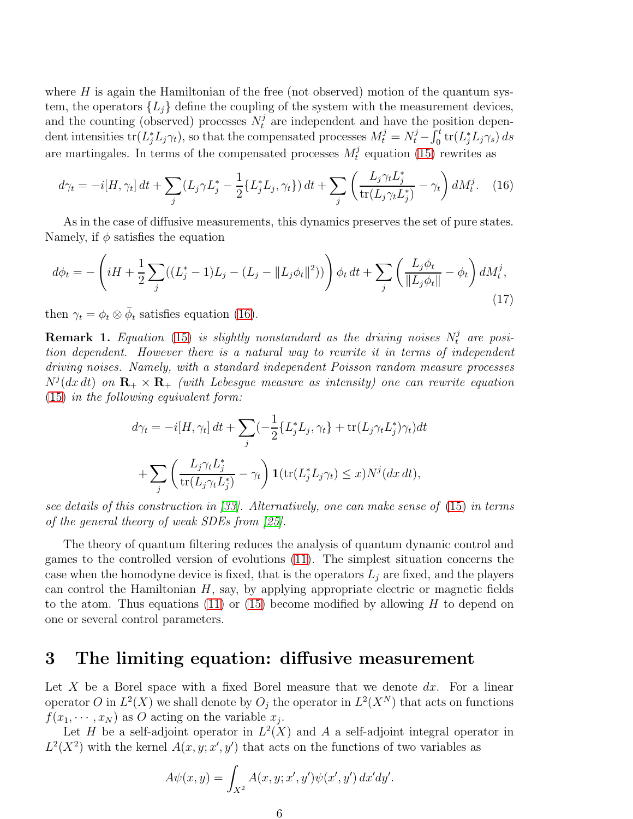where  $H$  is again the Hamiltonian of the free (not observed) motion of the quantum system, the operators  $\{L_i\}$  define the coupling of the system with the measurement devices, and the counting (observed) processes  $N_t^j$  are independent and have the position dependent intensities  $tr(L_j^*L_j\gamma_t)$ , so that the compensated processes  $M_t^j = N_t^j - \overline{\int_0^t tr(L_j^*L_j\gamma_s)} ds$ are martingales. In terms of the compensated processes  $M_t^j$  $t_t^j$  equation [\(15\)](#page-4-3) rewrites as

<span id="page-5-1"></span>
$$
d\gamma_t = -i[H, \gamma_t] dt + \sum_j (L_j \gamma L_j^* - \frac{1}{2} \{L_j^* L_j, \gamma_t\}) dt + \sum_j \left( \frac{L_j \gamma_t L_j^*}{\text{tr}(L_j \gamma_t L_j^*)} - \gamma_t \right) dM_t^j. \tag{16}
$$

As in the case of diffusive measurements, this dynamics preserves the set of pure states. Namely, if  $\phi$  satisfies the equation

<span id="page-5-2"></span>
$$
d\phi_t = -\left(iH + \frac{1}{2}\sum_j((L_j^*-1)L_j - (L_j - ||L_j\phi_t||^2))\right)\phi_t dt + \sum_j\left(\frac{L_j\phi_t}{||L_j\phi_t||} - \phi_t\right)dM_t^j,
$$
\n(17)

then  $\gamma_t = \phi_t \otimes \bar{\phi}_t$  satisfies equation [\(16\)](#page-5-1).

**Remark 1.** Equation [\(15\)](#page-4-3) is slightly nonstandard as the driving noises  $N_t^j$  are position dependent. However there is a natural way to rewrite it in terms of independent driving noises. Namely, with a standard independent Poisson random measure processes  $N^j(dx\,dt)$  on  $\mathbf{R}_+\times\mathbf{R}_+$  (with Lebesgue measure as intensity) one can rewrite equation [\(15\)](#page-4-3) in the following equivalent form:

$$
d\gamma_t = -i[H, \gamma_t] dt + \sum_j \left(-\frac{1}{2} \{L_j^* L_j, \gamma_t\} + \text{tr}(L_j \gamma_t L_j^*) \gamma_t\right) dt
$$

$$
+ \sum_j \left(\frac{L_j \gamma_t L_j^*}{\text{tr}(L_j \gamma_t L_j^*)} - \gamma_t\right) \mathbf{1}(\text{tr}(L_j^* L_j \gamma_t) \le x) N^j(dx \, dt),
$$

see details of this construction in [\[33\]](#page-22-5). Alternatively, one can make sense of [\(15\)](#page-4-3) in terms of the general theory of weak SDEs from [\[25\]](#page-21-12).

The theory of quantum filtering reduces the analysis of quantum dynamic control and games to the controlled version of evolutions [\(11\)](#page-4-0). The simplest situation concerns the case when the homodyne device is fixed, that is the operators  $L_j$  are fixed, and the players can control the Hamiltonian  $H$ , say, by applying appropriate electric or magnetic fields to the atom. Thus equations [\(11\)](#page-4-0) or [\(15\)](#page-4-3) become modified by allowing  $H$  to depend on one or several control parameters.

### <span id="page-5-0"></span>3 The limiting equation: diffusive measurement

Let X be a Borel space with a fixed Borel measure that we denote  $dx$ . For a linear operator O in  $L^2(X)$  we shall denote by  $O_j$  the operator in  $L^2(X^N)$  that acts on functions  $f(x_1, \dots, x_N)$  as O acting on the variable  $x_j$ .

Let H be a self-adjoint operator in  $L^2(X)$  and A a self-adjoint integral operator in  $L^2(X^2)$  with the kernel  $A(x, y; x', y')$  that acts on the functions of two variables as

$$
A\psi(x,y) = \int_{X^2} A(x,y;x',y')\psi(x',y') dx'dy'.
$$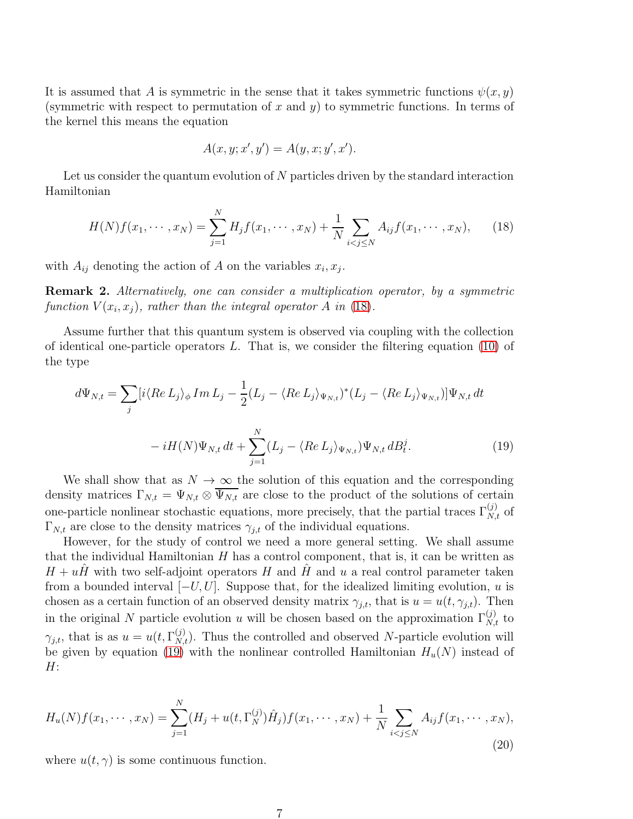It is assumed that A is symmetric in the sense that it takes symmetric functions  $\psi(x, y)$ (symmetric with respect to permutation of x and y) to symmetric functions. In terms of the kernel this means the equation

$$
A(x, y; x', y') = A(y, x; y', x').
$$

Let us consider the quantum evolution of  $N$  particles driven by the standard interaction Hamiltonian

<span id="page-6-0"></span>
$$
H(N)f(x_1, \dots, x_N) = \sum_{j=1}^N H_j f(x_1, \dots, x_N) + \frac{1}{N} \sum_{i < j \le N} A_{ij} f(x_1, \dots, x_N), \tag{18}
$$

with  $A_{ij}$  denoting the action of A on the variables  $x_i, x_j$ .

Remark 2. Alternatively, one can consider a multiplication operator, by a symmetric function  $V(x_i, x_j)$ , rather than the integral operator A in [\(18\)](#page-6-0).

Assume further that this quantum system is observed via coupling with the collection of identical one-particle operators  $L$ . That is, we consider the filtering equation [\(10\)](#page-3-3) of the type

<span id="page-6-1"></span>
$$
d\Psi_{N,t} = \sum_{j} [i \langle Re L_j \rangle_{\phi} Im L_j - \frac{1}{2} (L_j - \langle Re L_j \rangle_{\Psi_{N,t}})^* (L_j - \langle Re L_j \rangle_{\Psi_{N,t}})] \Psi_{N,t} dt
$$

$$
-i H(N) \Psi_{N,t} dt + \sum_{j=1}^{N} (L_j - \langle Re L_j \rangle_{\Psi_{N,t}}) \Psi_{N,t} dB_t^j.
$$
(19)

We shall show that as  $N \to \infty$  the solution of this equation and the corresponding density matrices  $\Gamma_{N,t} = \Psi_{N,t} \otimes \overline{\Psi_{N,t}}$  are close to the product of the solutions of certain one-particle nonlinear stochastic equations, more precisely, that the partial traces  $\Gamma_{N,t}^{(j)}$  of  $\Gamma_{N,t}$  are close to the density matrices  $\gamma_{j,t}$  of the individual equations.

However, for the study of control we need a more general setting. We shall assume that the individual Hamiltonian  $H$  has a control component, that is, it can be written as  $H + uH$  with two self-adjoint operators H and H and u a real control parameter taken from a bounded interval  $[-U, U]$ . Suppose that, for the idealized limiting evolution, u is chosen as a certain function of an observed density matrix  $\gamma_{j,t}$ , that is  $u = u(t, \gamma_{j,t})$ . Then in the original N particle evolution u will be chosen based on the approximation  $\Gamma_{N,t}^{(j)}$  to  $\gamma_{j,t}$ , that is as  $u = u(t, \Gamma_{N,t}^{(j)})$ . Thus the controlled and observed N-particle evolution will be given by equation [\(19\)](#page-6-1) with the nonlinear controlled Hamiltonian  $H_u(N)$  instead of  $H$ :

<span id="page-6-2"></span>
$$
H_u(N)f(x_1, \dots, x_N) = \sum_{j=1}^N (H_j + u(t, \Gamma_N^{(j)}) \hat{H}_j) f(x_1, \dots, x_N) + \frac{1}{N} \sum_{i < j \le N} A_{ij} f(x_1, \dots, x_N),\tag{20}
$$

where  $u(t, \gamma)$  is some continuous function.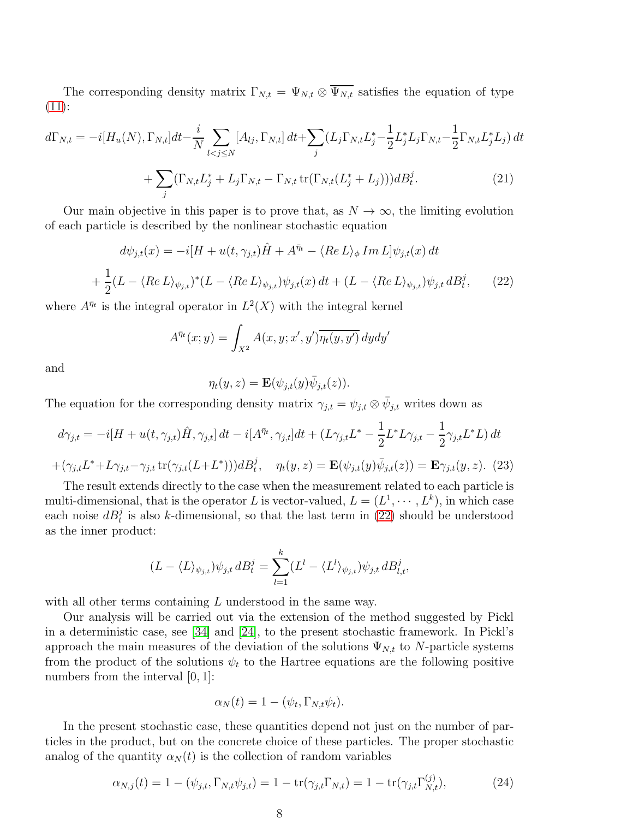The corresponding density matrix  $\Gamma_{N,t} = \Psi_{N,t} \otimes \overline{\Psi_{N,t}}$  satisfies the equation of type [\(11\)](#page-4-0):

$$
d\Gamma_{N,t} = -i[H_u(N), \Gamma_{N,t}]dt - \frac{i}{N} \sum_{l < j \le N} [A_{lj}, \Gamma_{N,t}] dt + \sum_j (L_j \Gamma_{N,t} L_j^* - \frac{1}{2} L_j^* L_j \Gamma_{N,t} - \frac{1}{2} \Gamma_{N,t} L_j^* L_j) dt + \sum_j (\Gamma_{N,t} L_j^* + L_j \Gamma_{N,t} - \Gamma_{N,t} \operatorname{tr}(\Gamma_{N,t} (L_j^* + L_j))) dB_t^j.
$$
\n(21)

Our main objective in this paper is to prove that, as  $N \to \infty$ , the limiting evolution of each particle is described by the nonlinear stochastic equation

<span id="page-7-1"></span><span id="page-7-0"></span>
$$
d\psi_{j,t}(x) = -i[H + u(t, \gamma_{j,t})\hat{H} + A^{\bar{\eta}t} - \langle Re L \rangle_{\phi} Im L] \psi_{j,t}(x) dt
$$

$$
+ \frac{1}{2}(L - \langle Re L \rangle_{\psi_{j,t}})^{*}(L - \langle Re L \rangle_{\psi_{j,t}}) \psi_{j,t}(x) dt + (L - \langle Re L \rangle_{\psi_{j,t}}) \psi_{j,t} dB_{t}^{j}, \qquad (22)
$$

where  $A^{\bar{\eta}_t}$  is the integral operator in  $L^2(X)$  with the integral kernel

$$
A^{\bar{\eta}_t}(x;y) = \int_{X^2} A(x,y;x',y') \overline{\eta_t(y,y')} \, dydy'
$$

and

$$
\eta_t(y, z) = \mathbf{E}(\psi_{j,t}(y)\overline{\psi}_{j,t}(z)).
$$

The equation for the corresponding density matrix  $\gamma_{j,t} = \psi_{j,t} \otimes \bar{\psi}_{j,t}$  writes down as

$$
d\gamma_{j,t} = -i[H + u(t, \gamma_{j,t})\hat{H}, \gamma_{j,t}]dt - i[A^{\bar{\eta}_t}, \gamma_{j,t}]dt + (L\gamma_{j,t}L^* - \frac{1}{2}L^*L\gamma_{j,t} - \frac{1}{2}\gamma_{j,t}L^*L)dt
$$

$$
+ (\gamma_{j,t}L^* + L\gamma_{j,t} - \gamma_{j,t} \operatorname{tr}(\gamma_{j,t}(L+L^*)))dB_t^j, \quad \eta_t(y, z) = \mathbf{E}(\psi_{j,t}(y)\bar{\psi}_{j,t}(z)) = \mathbf{E}\gamma_{j,t}(y, z). \tag{23}
$$

<span id="page-7-2"></span>The result extends directly to the case when the measurement related to each particle is multi-dimensional, that is the operator L is vector-valued,  $L = (L^1, \dots, L^k)$ , in which case each noise  $dB_t^j$  is also k-dimensional, so that the last term in [\(22\)](#page-7-0) should be understood as the inner product:

$$
(L - \langle L \rangle_{\psi_{j,t}}) \psi_{j,t} dB_t^j = \sum_{l=1}^k (L^l - \langle L^l \rangle_{\psi_{j,t}}) \psi_{j,t} dB_{l,t}^j,
$$

with all other terms containing L understood in the same way.

Our analysis will be carried out via the extension of the method suggested by Pickl in a deterministic case, see [\[34\]](#page-22-6) and [\[24\]](#page-21-13), to the present stochastic framework. In Pickl's approach the main measures of the deviation of the solutions  $\Psi_{N,t}$  to N-particle systems from the product of the solutions  $\psi_t$  to the Hartree equations are the following positive numbers from the interval  $[0, 1]$ :

$$
\alpha_N(t) = 1 - (\psi_t, \Gamma_{N,t} \psi_t).
$$

In the present stochastic case, these quantities depend not just on the number of particles in the product, but on the concrete choice of these particles. The proper stochastic analog of the quantity  $\alpha_N(t)$  is the collection of random variables

<span id="page-7-3"></span>
$$
\alpha_{N,j}(t) = 1 - (\psi_{j,t}, \Gamma_{N,t}\psi_{j,t}) = 1 - \text{tr}(\gamma_{j,t}\Gamma_{N,t}) = 1 - \text{tr}(\gamma_{j,t}\Gamma_{N,t}^{(j)}),
$$
\n(24)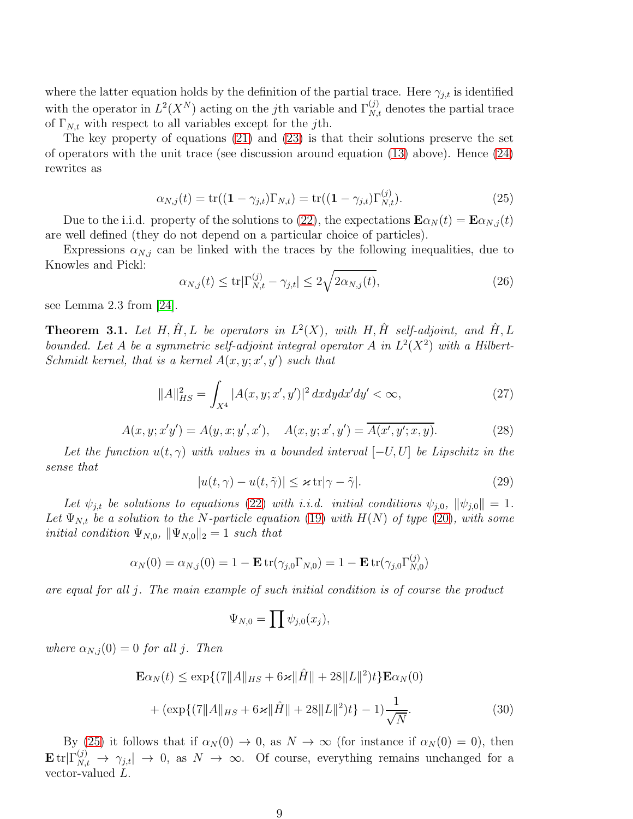where the latter equation holds by the definition of the partial trace. Here  $\gamma_{j,t}$  is identified with the operator in  $L^2(X^N)$  acting on the jth variable and  $\Gamma_{N,t}^{(j)}$  denotes the partial trace of  $\Gamma_{N,t}$  with respect to all variables except for the *j*th.

The key property of equations [\(21\)](#page-7-1) and [\(23\)](#page-7-2) is that their solutions preserve the set of operators with the unit trace (see discussion around equation [\(13\)](#page-4-2) above). Hence [\(24\)](#page-7-3) rewrites as

<span id="page-8-0"></span>
$$
\alpha_{N,j}(t) = \text{tr}((1 - \gamma_{j,t})\Gamma_{N,t}) = \text{tr}((1 - \gamma_{j,t})\Gamma_{N,t}^{(j)}).
$$
\n(25)

Due to the i.i.d. property of the solutions to [\(22\)](#page-7-0), the expectations  $\mathbf{E}\alpha_N(t) = \mathbf{E}\alpha_{N,i}(t)$ are well defined (they do not depend on a particular choice of particles).

Expressions  $\alpha_{N,j}$  can be linked with the traces by the following inequalities, due to Knowles and Pickl:

$$
\alpha_{N,j}(t) \le \text{tr}|\Gamma_{N,t}^{(j)} - \gamma_{j,t}| \le 2\sqrt{2\alpha_{N,j}(t)},\tag{26}
$$

see Lemma 2.3 from [\[24\]](#page-21-13).

<span id="page-8-4"></span>**Theorem 3.1.** Let H,  $\hat{H}$ , L be operators in  $L^2(X)$ , with H,  $\hat{H}$  self-adjoint, and  $\hat{H}$ , L bounded. Let A be a symmetric self-adjoint integral operator A in  $L^2(X^2)$  with a Hilbert-Schmidt kernel, that is a kernel  $A(x, y; x', y')$  such that

<span id="page-8-2"></span>
$$
||A||_{HS}^2 = \int_{X^4} |A(x, y; x', y')|^2 dx dy dx'dy' < \infty,
$$
\n(27)

<span id="page-8-3"></span>
$$
A(x, y; x'y') = A(y, x; y', x'), \quad A(x, y; x', y') = \overline{A(x', y'; x, y)}.
$$
 (28)

Let the function  $u(t, \gamma)$  with values in a bounded interval  $[-U, U]$  be Lipschitz in the sense that

<span id="page-8-5"></span>
$$
|u(t,\gamma) - u(t,\tilde{\gamma})| \leq \varkappa \operatorname{tr} |\gamma - \tilde{\gamma}|. \tag{29}
$$

Let  $\psi_{j,t}$  be solutions to equations [\(22\)](#page-7-0) with i.i.d. initial conditions  $\psi_{j,0}$ ,  $\|\psi_{j,0}\|=1$ . Let  $\Psi_{N,t}$  be a solution to the N-particle equation [\(19\)](#page-6-1) with  $H(N)$  of type [\(20\)](#page-6-2), with some initial condition  $\Psi_{N,0}$ ,  $\|\Psi_{N,0}\|_2 = 1$  such that

$$
\alpha_N(0) = \alpha_{N,j}(0) = 1 - \mathbf{E} \operatorname{tr}(\gamma_{j,0} \Gamma_{N,0}) = 1 - \mathbf{E} \operatorname{tr}(\gamma_{j,0} \Gamma_{N,0}^{(j)})
$$

are equal for all j. The main example of such initial condition is of course the product

$$
\Psi_{N,0} = \prod \psi_{j,0}(x_j),
$$

where  $\alpha_{N,j}(0) = 0$  for all j. Then

<span id="page-8-1"></span>
$$
\mathbf{E}\alpha_N(t) \le \exp\{(|7||A||_{HS} + 6\varkappa||\hat{H}|| + 28||L||^2)t\}\mathbf{E}\alpha_N(0) + (\exp\{(|7||A||_{HS} + 6\varkappa||\hat{H}|| + 28||L||^2)t\} - 1)\frac{1}{\sqrt{N}}.
$$
\n(30)

By [\(25\)](#page-8-0) it follows that if  $\alpha_N(0) \to 0$ , as  $N \to \infty$  (for instance if  $\alpha_N(0) = 0$ ), then  $\mathbf{E} \, \text{tr} | \Gamma_{N,t}^{(j)} \to \gamma_{j,t} | \to 0, \text{ as } N \to \infty.$  Of course, everything remains unchanged for a vector-valued L.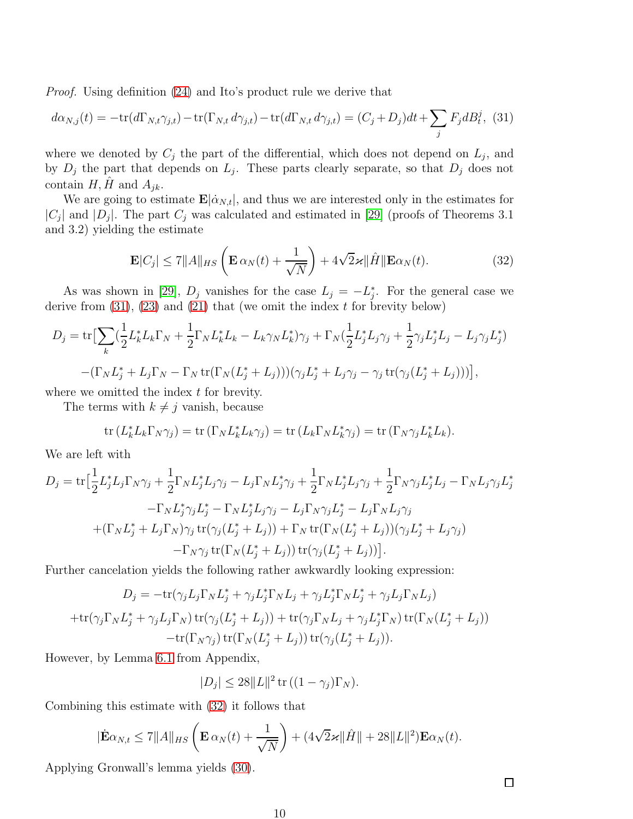Proof. Using definition [\(24\)](#page-7-3) and Ito's product rule we derive that

<span id="page-9-0"></span>
$$
d\alpha_{N,j}(t) = -\text{tr}(d\Gamma_{N,t}\gamma_{j,t}) - \text{tr}(\Gamma_{N,t}d\gamma_{j,t}) - \text{tr}(d\Gamma_{N,t}d\gamma_{j,t}) = (C_j + D_j)dt + \sum_j F_j dB_t^j, (31)
$$

where we denoted by  $C_j$  the part of the differential, which does not depend on  $L_j$ , and by  $D_j$  the part that depends on  $L_j$ . These parts clearly separate, so that  $D_j$  does not contain  $H, \tilde{H}$  and  $A_{ik}$ .

We are going to estimate  $\mathbf{E}[\dot{\alpha}_{N,t}]$ , and thus we are interested only in the estimates for  $|C_j|$  and  $|D_j|$ . The part  $C_j$  was calculated and estimated in [\[29\]](#page-21-1) (proofs of Theorems 3.1) and 3.2) yielding the estimate

<span id="page-9-1"></span>
$$
\mathbf{E}|C_j| \le 7||A||_{HS}\left(\mathbf{E}\,\alpha_N(t) + \frac{1}{\sqrt{N}}\right) + 4\sqrt{2}\varkappa||\hat{H}||\mathbf{E}\alpha_N(t). \tag{32}
$$

As was shown in [\[29\]](#page-21-1),  $D_j$  vanishes for the case  $L_j = -L_j^*$ . For the general case we derive from  $(31)$ ,  $(23)$  and  $(21)$  that (we omit the index t for brevity below)

$$
D_j = \text{tr}\big[\sum_k \left(\frac{1}{2}L_k^* L_k \Gamma_N + \frac{1}{2} \Gamma_N L_k^* L_k - L_k \gamma_N L_k^*\right)\gamma_j + \Gamma_N \left(\frac{1}{2}L_j^* L_j \gamma_j + \frac{1}{2} \gamma_j L_j^* L_j - L_j \gamma_j L_j^*\right) - \left(\Gamma_N L_j^* + L_j \Gamma_N - \Gamma_N \text{tr}(\Gamma_N (L_j^* + L_j)))\right)(\gamma_j L_j^* + L_j \gamma_j - \gamma_j \text{tr}(\gamma_j (L_j^* + L_j)))\big],
$$

where we omitted the index  $t$  for brevity.

The terms with  $k \neq j$  vanish, because

tr 
$$
(L_k^* L_k \Gamma_N \gamma_j) =
$$
tr  $(\Gamma_N L_k^* L_k \gamma_j) =$ tr  $(L_k \Gamma_N L_k^* \gamma_j) =$ tr  $(\Gamma_N \gamma_j L_k^* L_k)$ .

We are left with

$$
D_j = \text{tr}\left[\frac{1}{2}L_j^*L_j\Gamma_N\gamma_j + \frac{1}{2}\Gamma_NL_j^*L_j\gamma_j - L_j\Gamma_NL_j^*\gamma_j + \frac{1}{2}\Gamma_NL_j^*L_j\gamma_j + \frac{1}{2}\Gamma_N\gamma_jL_j^*L_j - \Gamma_NL_j\gamma_jL_j^* - \Gamma_NL_j^*\gamma_jL_j^* - \Gamma_NL_j^*L_j\gamma_j - L_j\Gamma_N\gamma_jL_j^* - L_j\Gamma_NL_j\gamma_j + (\Gamma_NL_j^* + L_j\Gamma_N)\gamma_j\,\text{tr}(\gamma_j(L_j^* + L_j)) + \Gamma_N\,\text{tr}(\Gamma_N(L_j^* + L_j))(\gamma_jL_j^* + L_j\gamma_j) - \Gamma_N\gamma_j\,\text{tr}(\Gamma_N(L_j^* + L_j))\,\text{tr}(\gamma_j(L_j^* + L_j))\right].
$$

Further cancelation yields the following rather awkwardly looking expression:

$$
D_j = -\text{tr}(\gamma_j L_j \Gamma_N L_j^* + \gamma_j L_j^* \Gamma_N L_j + \gamma_j L_j^* \Gamma_N L_j^* + \gamma_j L_j \Gamma_N L_j)
$$

$$
+\text{tr}(\gamma_j \Gamma_N L_j^* + \gamma_j L_j \Gamma_N) \text{tr}(\gamma_j (L_j^* + L_j)) + \text{tr}(\gamma_j \Gamma_N L_j + \gamma_j L_j^* \Gamma_N) \text{tr}(\Gamma_N (L_j^* + L_j))
$$

$$
-\text{tr}(\Gamma_N \gamma_j) \text{tr}(\Gamma_N (L_j^* + L_j)) \text{tr}(\gamma_j (L_j^* + L_j)).
$$

However, by Lemma [6.1](#page-14-0) from Appendix,

$$
|D_j| \leq 28||L||^2 \operatorname{tr} \left( (1 - \gamma_j) \Gamma_N \right).
$$

Combining this estimate with [\(32\)](#page-9-1) it follows that

$$
|\dot{\mathbf{E}}\alpha_{N,t} \le 7||A||_{HS}\left(\mathbf{E}\alpha_N(t) + \frac{1}{\sqrt{N}}\right) + (4\sqrt{2}\varkappa||\hat{H}|| + 28||L||^2)\mathbf{E}\alpha_N(t).
$$

Applying Gronwall's lemma yields [\(30\)](#page-8-1).

 $\Box$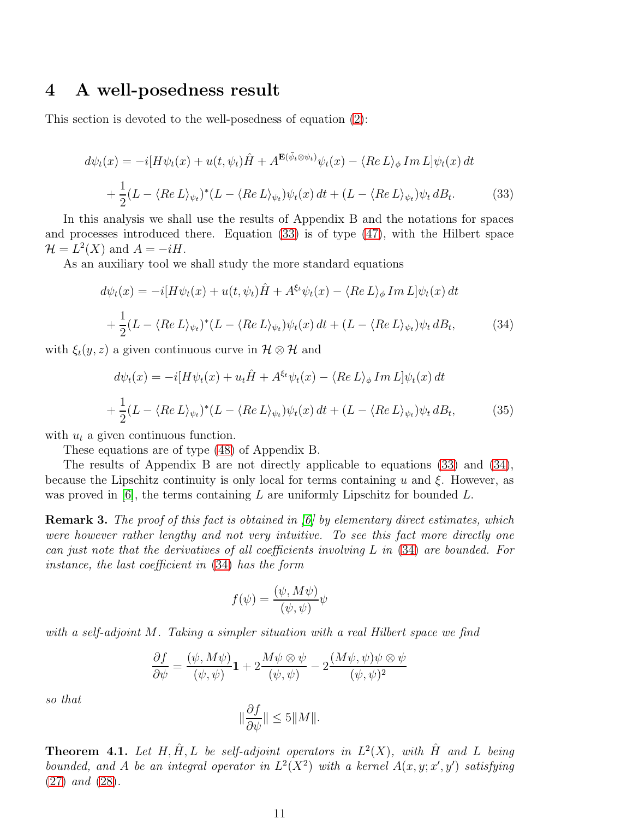#### <span id="page-10-0"></span>4 A well-posedness result

This section is devoted to the well-posedness of equation [\(2\)](#page-1-0):

<span id="page-10-1"></span>
$$
d\psi_t(x) = -i[H\psi_t(x) + u(t, \psi_t)\hat{H} + A^{\mathbf{E}(\bar{\psi}_t \otimes \psi_t)}\psi_t(x) - \langle Re L \rangle_{\phi} Im L] \psi_t(x) dt + \frac{1}{2}(L - \langle Re L \rangle_{\psi_t})^*(L - \langle Re L \rangle_{\psi_t})\psi_t(x) dt + (L - \langle Re L \rangle_{\psi_t})\psi_t dB_t.
$$
(33)

In this analysis we shall use the results of Appendix B and the notations for spaces and processes introduced there. Equation [\(33\)](#page-10-1) is of type [\(47\)](#page-16-0), with the Hilbert space  $\mathcal{H} = L^2(X)$  and  $A = -iH$ .

As an auxiliary tool we shall study the more standard equations

<span id="page-10-2"></span>
$$
d\psi_t(x) = -i[H\psi_t(x) + u(t, \psi_t)\hat{H} + A^{\xi_t}\psi_t(x) - \langle Re L \rangle_{\phi} Im L] \psi_t(x) dt
$$
  
+ 
$$
\frac{1}{2}(L - \langle Re L \rangle_{\psi_t})^*(L - \langle Re L \rangle_{\psi_t})\psi_t(x) dt + (L - \langle Re L \rangle_{\psi_t})\psi_t dB_t,
$$
(34)

with  $\xi_t(y, z)$  a given continuous curve in  $\mathcal{H} \otimes \mathcal{H}$  and

<span id="page-10-3"></span>
$$
d\psi_t(x) = -i[H\psi_t(x) + u_t\hat{H} + A^{\xi_t}\psi_t(x) - \langle Re L \rangle_{\phi} Im L] \psi_t(x) dt
$$
  
+ 
$$
\frac{1}{2}(L - \langle Re L \rangle_{\psi_t})^* (L - \langle Re L \rangle_{\psi_t}) \psi_t(x) dt + (L - \langle Re L \rangle_{\psi_t}) \psi_t dB_t,
$$
(35)

with  $u_t$  a given continuous function.

These equations are of type [\(48\)](#page-16-1) of Appendix B.

The results of Appendix B are not directly applicable to equations [\(33\)](#page-10-1) and [\(34\)](#page-10-2), because the Lipschitz continuity is only local for terms containing u and  $\xi$ . However, as was proved in  $[6]$ , the terms containing L are uniformly Lipschitz for bounded L.

**Remark 3.** The proof of this fact is obtained in  $\vert \theta \vert$  by elementary direct estimates, which were however rather lengthy and not very intuitive. To see this fact more directly one can just note that the derivatives of all coefficients involving L in [\(34\)](#page-10-2) are bounded. For instance, the last coefficient in [\(34\)](#page-10-2) has the form

$$
f(\psi) = \frac{(\psi, M\psi)}{(\psi, \psi)} \psi
$$

with a self-adjoint M. Taking a simpler situation with a real Hilbert space we find

$$
\frac{\partial f}{\partial \psi} = \frac{(\psi, M\psi)}{(\psi, \psi)} \mathbf{1} + 2 \frac{M\psi \otimes \psi}{(\psi, \psi)} - 2 \frac{(M\psi, \psi)\psi \otimes \psi}{(\psi, \psi)^2}
$$

so that

$$
\|\frac{\partial f}{\partial \psi}\| \le 5 \|M\|.
$$

**Theorem 4.1.** Let H,  $\hat{H}$ , L be self-adjoint operators in  $L^2(X)$ , with  $\hat{H}$  and L being bounded, and A be an integral operator in  $L^2(X^2)$  with a kernel  $A(x, y; x', y')$  satisfying [\(27\)](#page-8-2) and [\(28\)](#page-8-3).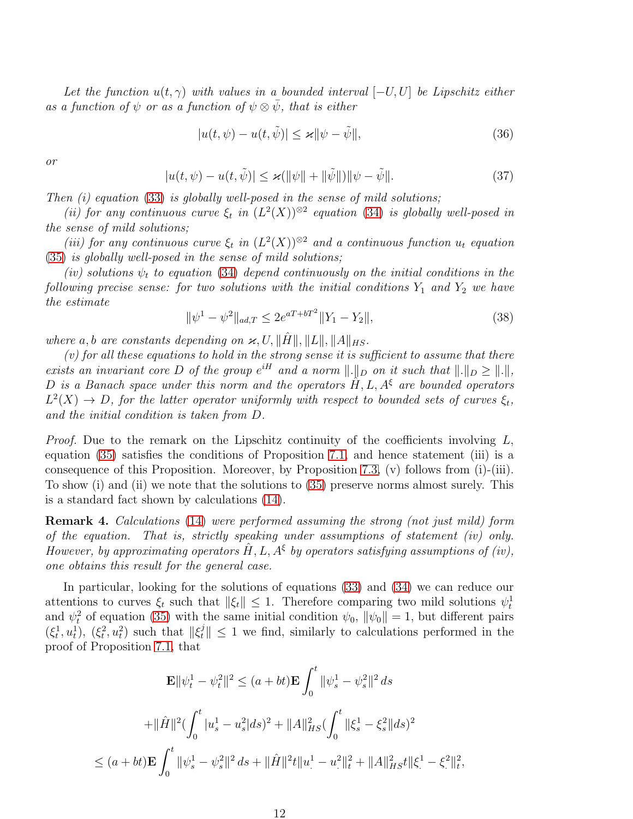Let the function  $u(t, \gamma)$  with values in a bounded interval  $[-U, U]$  be Lipschitz either as a function of  $\psi$  or as a function of  $\psi \otimes \bar{\psi}$ , that is either

$$
|u(t, \psi) - u(t, \tilde{\psi})| \le \varkappa \|\psi - \tilde{\psi}\|,\tag{36}
$$

or

$$
|u(t, \psi) - u(t, \tilde{\psi})| \le \varkappa (\|\psi\| + \|\tilde{\psi}\|) \|\psi - \tilde{\psi}\|.
$$
 (37)

Then  $(i)$  equation [\(33\)](#page-10-1) is globally well-posed in the sense of mild solutions;

(ii) for any continuous curve  $\xi_t$  in  $(L^2(X))^{\otimes 2}$  equation [\(34\)](#page-10-2) is globally well-posed in the sense of mild solutions;

(iii) for any continuous curve  $\xi_t$  in  $(L^2(X))^{\otimes 2}$  and a continuous function  $u_t$  equation [\(35\)](#page-10-3) is globally well-posed in the sense of mild solutions;

(iv) solutions  $\psi_t$  to equation [\(34\)](#page-10-2) depend continuously on the initial conditions in the following precise sense: for two solutions with the initial conditions  $Y_1$  and  $Y_2$  we have the estimate

<span id="page-11-0"></span>
$$
\|\psi^1 - \psi^2\|_{ad,T} \le 2e^{aT + bT^2} \|Y_1 - Y_2\|,\tag{38}
$$

where a, b are constants depending on  $\varkappa$ , U,  $\|\hat{H}\|$ ,  $\|L\|$ ,  $\|A\|_{HS}$ .

 $(v)$  for all these equations to hold in the strong sense it is sufficient to assume that there exists an invariant core D of the group  $e^{iH}$  and a norm  $\|\cdot\|_D$  on it such that  $\|\cdot\|_D \ge \|\cdot\|$ , D is a Banach space under this norm and the operators  $\hat{H}$ , L,  $A^{\xi}$  are bounded operators  $L^2(X) \to D$ , for the latter operator uniformly with respect to bounded sets of curves  $\xi_t$ , and the initial condition is taken from D.

*Proof.* Due to the remark on the Lipschitz continuity of the coefficients involving  $L$ , equation [\(35\)](#page-10-3) satisfies the conditions of Proposition [7.1,](#page-17-0) and hence statement (iii) is a consequence of this Proposition. Moreover, by Proposition [7.3,](#page-19-0) (v) follows from (i)-(iii). To show (i) and (ii) we note that the solutions to [\(35\)](#page-10-3) preserve norms almost surely. This is a standard fact shown by calculations [\(14\)](#page-4-4).

Remark 4. Calculations [\(14\)](#page-4-4) were performed assuming the strong (not just mild) form of the equation. That is, strictly speaking under assumptions of statement (iv) only. However, by approximating operators  $\hat{H}$ , L,  $A^{\xi}$  by operators satisfying assumptions of (iv), one obtains this result for the general case.

In particular, looking for the solutions of equations [\(33\)](#page-10-1) and [\(34\)](#page-10-2) we can reduce our attentions to curves  $\xi_t$  such that  $||\xi_t|| \leq 1$ . Therefore comparing two mild solutions  $\psi_t^1$ and  $\psi_t^2$  of equation [\(35\)](#page-10-3) with the same initial condition  $\psi_0$ ,  $\|\psi_0\| = 1$ , but different pairs  $(\xi_t^1, u_t^1), (\xi_t^2, u_t^2)$  such that  $\|\xi_t^j\| \leq 1$  we find, similarly to calculations performed in the proof of Proposition [7.1,](#page-17-0) that

$$
\mathbf{E} \|\psi_t^1 - \psi_t^2\|^2 \le (a + bt) \mathbf{E} \int_0^t \|\psi_s^1 - \psi_s^2\|^2 ds
$$
  
+
$$
\|\hat{H}\|^2 (\int_0^t |u_s^1 - u_s^2| ds)^2 + \|A\|_{HS}^2 (\int_0^t \|\xi_s^1 - \xi_s^2\| ds)^2
$$
  

$$
\le (a + bt) \mathbf{E} \int_0^t \|\psi_s^1 - \psi_s^2\|^2 ds + \|\hat{H}\|^2 t \|u^1 - u^2\|_t^2 + \|A\|_{HS}^2 t \|\xi^1 - \xi^2\|_t^2,
$$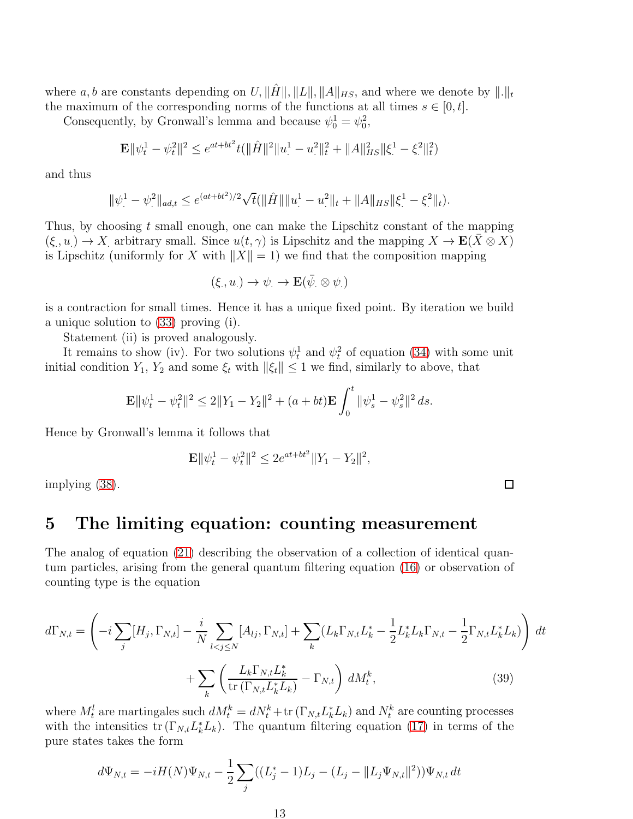where a, b are constants depending on U,  $\|\hat{H}\|$ ,  $\|L\|$ ,  $\|A\|_{HS}$ , and where we denote by  $\|.\|_t$ the maximum of the corresponding norms of the functions at all times  $s \in [0, t]$ .

Consequently, by Gronwall's lemma and because  $\psi_0^1 = \psi_0^2$ ,

$$
\mathbf{E} \|\psi_t^1 - \psi_t^2\|^2 \le e^{at + bt^2} t(\|\hat{H}\|^2 \|u_t^1 - u_t^2\|_t^2 + \|A\|_{HS}^2 \|\xi_t^1 - \xi_t^2\|_t^2)
$$

and thus

$$
\|\psi^1 - \psi^2\|_{ad,t} \le e^{(at+bt^2)/2} \sqrt{t} (\|\hat{H}\| \|u^1 - u^2\|_t + \|A\|_{HS} \|\xi^1 - \xi^2\|_t).
$$

Thus, by choosing t small enough, one can make the Lipschitz constant of the mapping  $(\xi, u) \to X$  arbitrary small. Since  $u(t, \gamma)$  is Lipschitz and the mapping  $X \to \mathbf{E}(\bar{X} \otimes X)$ is Lipschitz (uniformly for X with  $||X|| = 1$ ) we find that the composition mapping

$$
(\xi,u_\cdot)\to\psi_\cdot\to\mathbf{E}(\bar\psi_\cdot\otimes\psi_\cdot)
$$

is a contraction for small times. Hence it has a unique fixed point. By iteration we build a unique solution to [\(33\)](#page-10-1) proving (i).

Statement (ii) is proved analogously.

It remains to show (iv). For two solutions  $\psi_t^1$  and  $\psi_t^2$  of equation [\(34\)](#page-10-2) with some unit initial condition  $Y_1, Y_2$  and some  $\xi_t$  with  $\|\xi_t\| \leq 1$  we find, similarly to above, that

$$
\mathbf{E} \|\psi_t^1 - \psi_t^2\|^2 \le 2\|Y_1 - Y_2\|^2 + (a + bt)\mathbf{E} \int_0^t \|\psi_s^1 - \psi_s^2\|^2 ds.
$$

Hence by Gronwall's lemma it follows that

$$
\mathbf{E} \|\psi_t^1 - \psi_t^2\|^2 \le 2e^{at + bt^2} \|Y_1 - Y_2\|^2,
$$

<span id="page-12-0"></span>implying [\(38\)](#page-11-0).

### 5 The limiting equation: counting measurement

The analog of equation [\(21\)](#page-7-1) describing the observation of a collection of identical quantum particles, arising from the general quantum filtering equation [\(16\)](#page-5-1) or observation of counting type is the equation

$$
d\Gamma_{N,t} = \left(-i\sum_{j} [H_j, \Gamma_{N,t}] - \frac{i}{N} \sum_{l < j \le N} [A_{lj}, \Gamma_{N,t}] + \sum_{k} (L_k \Gamma_{N,t} L_k^* - \frac{1}{2} L_k^* L_k \Gamma_{N,t} - \frac{1}{2} \Gamma_{N,t} L_k^* L_k) \right) dt + \sum_{k} \left(\frac{L_k \Gamma_{N,t} L_k^*}{\text{tr}(\Gamma_{N,t} L_k^* L_k)} - \Gamma_{N,t}\right) dM_t^k, \tag{39}
$$

where  $M_t^l$  are martingales such  $dM_t^k = dN_t^k + \text{tr}(\Gamma_{N,t}L_k^*L_k)$  and  $N_t^k$  are counting processes with the intensities  $\text{tr}(\Gamma_{N,t}L_k^*L_k)$ . The quantum filtering equation [\(17\)](#page-5-2) in terms of the pure states takes the form

<span id="page-12-1"></span>
$$
d\Psi_{N,t} = -iH(N)\Psi_{N,t} - \frac{1}{2}\sum_j ((L_j^*-1)L_j - (L_j - ||L_j\Psi_{N,t}||^2))\Psi_{N,t} dt
$$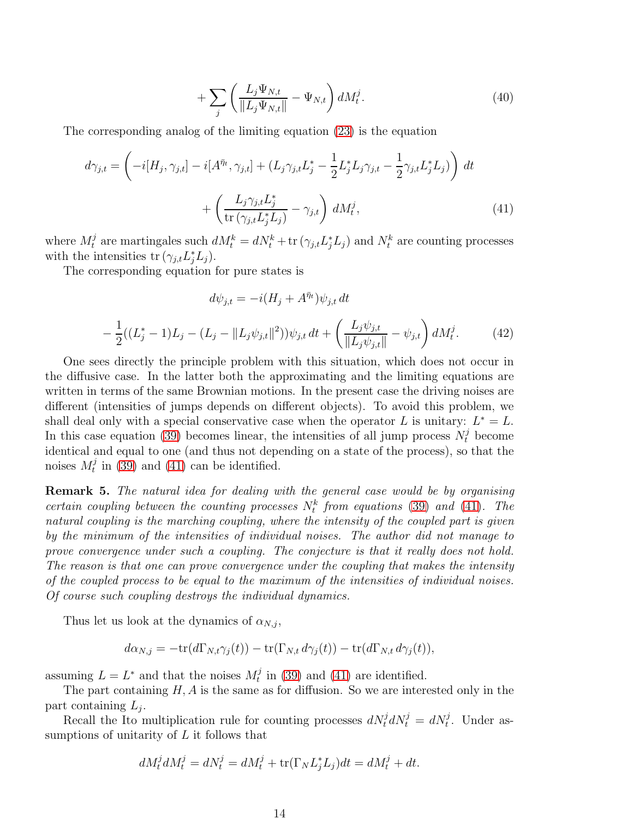<span id="page-13-2"></span><span id="page-13-0"></span>
$$
+\sum_{j}\left(\frac{L_j\Psi_{N,t}}{\|L_j\Psi_{N,t}\|}-\Psi_{N,t}\right)dM_t^j.
$$
\n(40)

The corresponding analog of the limiting equation [\(23\)](#page-7-2) is the equation

$$
d\gamma_{j,t} = \left(-i[H_j, \gamma_{j,t}] - i[A^{\bar{\eta}_t}, \gamma_{j,t}] + (L_j \gamma_{j,t} L_j^* - \frac{1}{2} L_j^* L_j \gamma_{j,t} - \frac{1}{2} \gamma_{j,t} L_j^* L_j)\right) dt + \left(\frac{L_j \gamma_{j,t} L_j^*}{\text{tr}\left(\gamma_{j,t} L_j^* L_j\right)} - \gamma_{j,t}\right) dM_t^j,
$$
(41)

where  $M_t^j$  are martingales such  $dM_t^k = dN_t^k + \text{tr}(\gamma_{j,t}L_j^*L_j)$  and  $N_t^k$  are counting processes with the intensities  $\text{tr}(\gamma_{j,t}L_j^*L_j)$ .

The corresponding equation for pure states is

<span id="page-13-1"></span>
$$
d\psi_{j,t} = -i(H_j + A^{\bar{\eta}_t})\psi_{j,t} dt
$$

$$
- \frac{1}{2}((L_j^* - 1)L_j - (L_j - ||L_j\psi_{j,t}||^2))\psi_{j,t} dt + \left(\frac{L_j\psi_{j,t}}{||L_j\psi_{j,t}||} - \psi_{j,t}\right) dM_t^j.
$$
(42)

One sees directly the principle problem with this situation, which does not occur in the diffusive case. In the latter both the approximating and the limiting equations are written in terms of the same Brownian motions. In the present case the driving noises are different (intensities of jumps depends on different objects). To avoid this problem, we shall deal only with a special conservative case when the operator L is unitary:  $L^* = L$ . In this case equation [\(39\)](#page-12-1) becomes linear, the intensities of all jump process  $N_t^j$  become identical and equal to one (and thus not depending on a state of the process), so that the noises  $M_t^j$  in [\(39\)](#page-12-1) and [\(41\)](#page-13-0) can be identified.

Remark 5. The natural idea for dealing with the general case would be by organising certain coupling between the counting processes  $N_t^k$  from equations [\(39\)](#page-12-1) and [\(41\)](#page-13-0). The natural coupling is the marching coupling, where the intensity of the coupled part is given by the minimum of the intensities of individual noises. The author did not manage to prove convergence under such a coupling. The conjecture is that it really does not hold. The reason is that one can prove convergence under the coupling that makes the intensity of the coupled process to be equal to the maximum of the intensities of individual noises. Of course such coupling destroys the individual dynamics.

Thus let us look at the dynamics of  $\alpha_{N,j}$ ,

$$
d\alpha_{N,j} = -\text{tr}(d\Gamma_{N,t}\gamma_j(t)) - \text{tr}(\Gamma_{N,t} d\gamma_j(t)) - \text{tr}(d\Gamma_{N,t} d\gamma_j(t)),
$$

assuming  $L = L^*$  and that the noises  $M_t^j$  in [\(39\)](#page-12-1) and [\(41\)](#page-13-0) are identified.

The part containing  $H, A$  is the same as for diffusion. So we are interested only in the part containing  $L_j$ .

Recall the Ito multiplication rule for counting processes  $dN_t^j dN_t^j = dN_t^j$ . Under assumptions of unitarity of  $L$  it follows that

$$
dM_t^j dM_t^j = dN_t^j = dM_t^j + \text{tr}(\Gamma_N L_j^* L_j) dt = dM_t^j + dt.
$$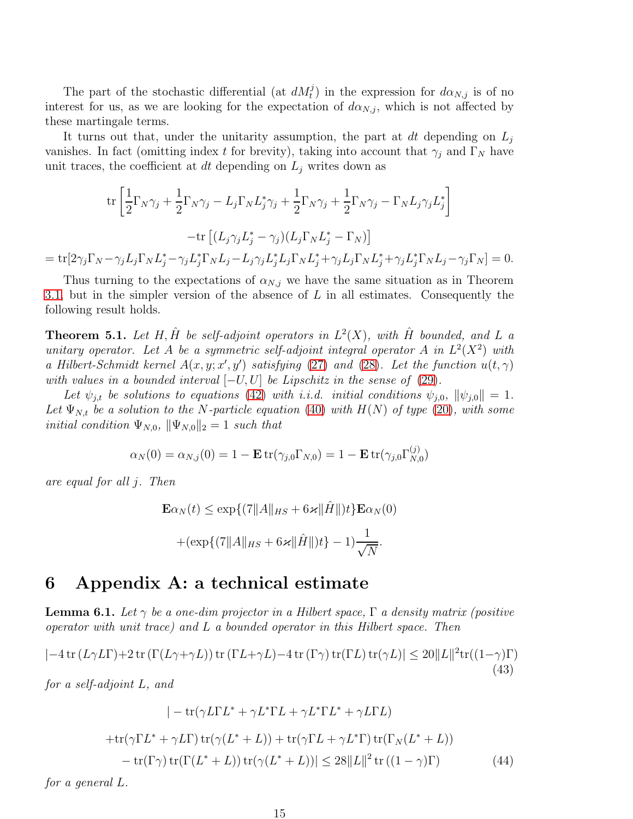The part of the stochastic differential (at  $dM_t^j$ ) in the expression for  $d\alpha_{N,j}$  is of no interest for us, as we are looking for the expectation of  $d\alpha_{N,j}$ , which is not affected by these martingale terms.

It turns out that, under the unitarity assumption, the part at dt depending on  $L_i$ vanishes. In fact (omitting index t for brevity), taking into account that  $\gamma_j$  and  $\Gamma_N$  have unit traces, the coefficient at dt depending on  $L_j$  writes down as

$$
\operatorname{tr}\left[\frac{1}{2}\Gamma_N\gamma_j + \frac{1}{2}\Gamma_N\gamma_j - L_j\Gamma_N L_j^*\gamma_j + \frac{1}{2}\Gamma_N\gamma_j + \frac{1}{2}\Gamma_N\gamma_j - \Gamma_N L_j\gamma_j L_j^*\right]
$$

$$
-\operatorname{tr}\left[(L_j\gamma_j L_j^* - \gamma_j)(L_j\Gamma_N L_j^* - \Gamma_N)\right]
$$

$$
= \operatorname{tr}[2\gamma_j\Gamma_N - \gamma_j L_j\Gamma_N L_j^* - \gamma_j L_j^*\Gamma_N L_j - L_j\gamma_j L_j^* L_j\Gamma_N L_j^* + \gamma_j L_j\Gamma_N L_j^* + \gamma_j L_j^*\Gamma_N L_j - \gamma_j\Gamma_N] = 0.
$$

Thus turning to the expectations of  $\alpha_{N,j}$  we have the same situation as in Theorem [3.1,](#page-8-4) but in the simpler version of the absence of  $L$  in all estimates. Consequently the following result holds.

**Theorem 5.1.** Let H,  $\hat{H}$  be self-adjoint operators in  $L^2(X)$ , with  $\hat{H}$  bounded, and L a unitary operator. Let A be a symmetric self-adjoint integral operator A in  $L^2(X^2)$  with a Hilbert-Schmidt kernel  $A(x, y; x', y')$  satisfying [\(27\)](#page-8-2) and [\(28\)](#page-8-3). Let the function  $u(t, \gamma)$ with values in a bounded interval  $[-U, U]$  be Lipschitz in the sense of [\(29\)](#page-8-5).

Let  $\psi_{j,t}$  be solutions to equations [\(42\)](#page-13-1) with i.i.d. initial conditions  $\psi_{j,0}$ ,  $\|\psi_{j,0}\| = 1$ . Let  $\Psi_{N,t}$  be a solution to the N-particle equation [\(40\)](#page-13-2) with  $H(N)$  of type [\(20\)](#page-6-2), with some *initial condition*  $\Psi_{N,0}$ ,  $\|\Psi_{N,0}\|_2 = 1$  such that

$$
\alpha_N(0) = \alpha_{N,j}(0) = 1 - \mathbf{E} \operatorname{tr}(\gamma_{j,0} \Gamma_{N,0}) = 1 - \mathbf{E} \operatorname{tr}(\gamma_{j,0} \Gamma_{N,0}^{(j)})
$$

are equal for all j. Then

$$
\mathbf{E}\alpha_N(t) \le \exp\{(7\|A\|_{HS} + 6\varkappa \|\hat{H}\|)t\} \mathbf{E}\alpha_N(0) + (\exp\{(7\|A\|_{HS} + 6\varkappa \|\hat{H}\|)t\} - 1)\frac{1}{\sqrt{N}}.
$$

#### 6 Appendix A: a technical estimate

<span id="page-14-0"></span>**Lemma 6.1.** Let  $\gamma$  be a one-dim projector in a Hilbert space,  $\Gamma$  a density matrix (positive operator with unit trace) and L a bounded operator in this Hilbert space. Then

<span id="page-14-1"></span>
$$
|-4\operatorname{tr}(L\gamma L\Gamma)+2\operatorname{tr}(\Gamma(L\gamma+\gamma L))\operatorname{tr}(\Gamma L+\gamma L)-4\operatorname{tr}(\Gamma\gamma)\operatorname{tr}(\Gamma L)\operatorname{tr}(\gamma L)|\leq 20\|L\|^2\operatorname{tr}((1-\gamma)\Gamma) \tag{43}
$$

for a self-adjoint L, and

<span id="page-14-2"></span>
$$
|- \operatorname{tr}(\gamma L\Gamma L^* + \gamma L^*\Gamma L + \gamma L^*\Gamma L^* + \gamma L\Gamma L)
$$
  
+ 
$$
\operatorname{tr}(\gamma\Gamma L^* + \gamma L\Gamma) \operatorname{tr}(\gamma (L^* + L)) + \operatorname{tr}(\gamma\Gamma L + \gamma L^*\Gamma) \operatorname{tr}(\Gamma_N (L^* + L))
$$

$$
- \operatorname{tr}(\Gamma\gamma) \operatorname{tr}(\Gamma (L^* + L)) \operatorname{tr}(\gamma (L^* + L))| \leq 28 ||L||^2 \operatorname{tr}((1 - \gamma)\Gamma) \tag{44}
$$

for a general L.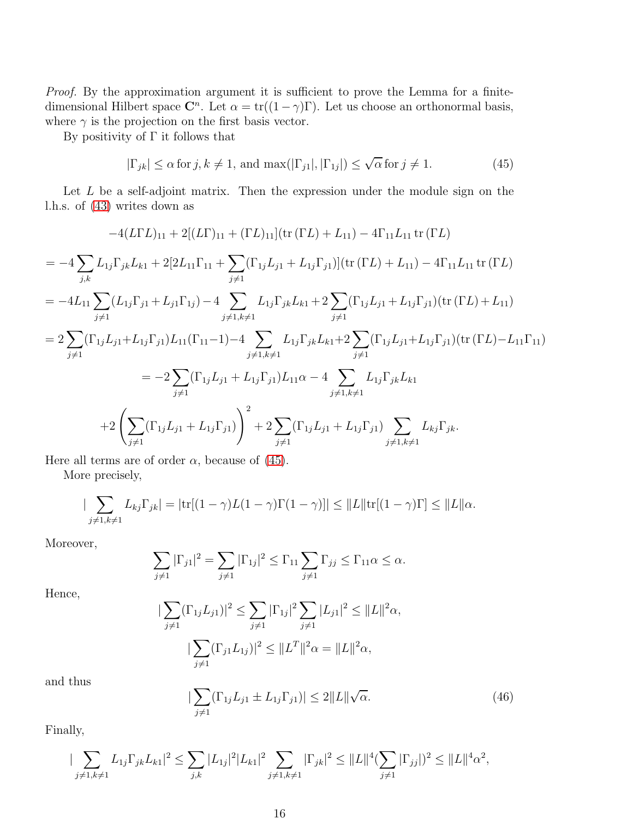Proof. By the approximation argument it is sufficient to prove the Lemma for a finitedimensional Hilbert space  $\mathbb{C}^n$ . Let  $\alpha = \text{tr}((1-\gamma)\Gamma)$ . Let us choose an orthonormal basis, where  $\gamma$  is the projection on the first basis vector.

By positivity of  $\Gamma$  it follows that

<span id="page-15-0"></span>
$$
|\Gamma_{jk}| \le \alpha \text{ for } j, k \ne 1, \text{ and } \max(|\Gamma_{j1}|, |\Gamma_{1j}|) \le \sqrt{\alpha} \text{ for } j \ne 1.
$$
 (45)

Let  $L$  be a self-adjoint matrix. Then the expression under the module sign on the l.h.s. of [\(43\)](#page-14-1) writes down as

$$
-4(L\Gamma L)_{11} + 2[(L\Gamma)_{11} + (\Gamma L)_{11}](\text{tr}(\Gamma L) + L_{11}) - 4\Gamma_{11}L_{11}\text{tr}(\Gamma L)
$$
  
\n
$$
= -4\sum_{j,k} L_{1j}\Gamma_{jk}L_{k1} + 2[2L_{11}\Gamma_{11} + \sum_{j\neq 1} (\Gamma_{1j}L_{j1} + L_{1j}\Gamma_{j1})](\text{tr}(\Gamma L) + L_{11}) - 4\Gamma_{11}L_{11}\text{tr}(\Gamma L)
$$
  
\n
$$
= -4L_{11}\sum_{j\neq 1} (L_{1j}\Gamma_{j1} + L_{j1}\Gamma_{1j}) - 4\sum_{j\neq 1, k\neq 1} L_{1j}\Gamma_{jk}L_{k1} + 2\sum_{j\neq 1} (\Gamma_{1j}L_{j1} + L_{1j}\Gamma_{j1})(\text{tr}(\Gamma L) + L_{11})
$$
  
\n
$$
= 2\sum_{j\neq 1} (\Gamma_{1j}L_{j1} + L_{1j}\Gamma_{j1})L_{11}(\Gamma_{11} - 1) - 4\sum_{j\neq 1, k\neq 1} L_{1j}\Gamma_{jk}L_{k1} + 2\sum_{j\neq 1} (\Gamma_{1j}L_{j1} + L_{1j}\Gamma_{j1})(\text{tr}(\Gamma L) - L_{11}\Gamma_{11})
$$
  
\n
$$
= -2\sum_{j\neq 1} (\Gamma_{1j}L_{j1} + L_{1j}\Gamma_{j1})L_{11}\alpha - 4\sum_{j\neq 1, k\neq 1} L_{1j}\Gamma_{jk}L_{k1}
$$
  
\n
$$
+ 2\left(\sum_{j\neq 1} (\Gamma_{1j}L_{j1} + L_{1j}\Gamma_{j1})\right)^2 + 2\sum_{j\neq 1} (\Gamma_{1j}L_{j1} + L_{1j}\Gamma_{j1})\sum_{j\neq 1, k\neq 1} L_{kj}\Gamma_{jk}.
$$

Here all terms are of order  $\alpha$ , because of [\(45\)](#page-15-0).

More precisely,

$$
|\sum_{j\neq 1,k\neq 1}L_{kj}\Gamma_{jk}|=|\text{tr}[(1-\gamma)L(1-\gamma)\Gamma(1-\gamma)]|\leq ||L||\text{tr}[(1-\gamma)\Gamma]\leq ||L||\alpha.
$$

Moreover,

$$
\sum_{j\neq 1}|\Gamma_{j1}|^2=\sum_{j\neq 1}|\Gamma_{1j}|^2\leq \Gamma_{11}\sum_{j\neq 1}\Gamma_{jj}\leq \Gamma_{11}\alpha\leq \alpha.
$$

Hence,

$$
\sum_{j\neq 1} (\Gamma_{1j} L_{j1})|^2 \leq \sum_{j\neq 1} |\Gamma_{1j}|^2 \sum_{j\neq 1} |L_{j1}|^2 \leq ||L||^2 \alpha,
$$
  

$$
|\sum_{j\neq 1} (\Gamma_{j1} L_{1j})|^2 \leq ||L^T||^2 \alpha = ||L||^2 \alpha,
$$

and thus

<span id="page-15-1"></span>
$$
|\sum_{j\neq 1} (\Gamma_{1j} L_{j1} \pm L_{1j} \Gamma_{j1})| \leq 2||L||\sqrt{\alpha}.
$$
 (46)

Finally,

$$
|\sum_{j\neq 1,k\neq 1} L_{1j}\Gamma_{jk}L_{k1}|^2 \leq \sum_{j,k}|L_{1j}|^2|L_{k1}|^2 \sum_{j\neq 1,k\neq 1}|\Gamma_{jk}|^2 \leq ||L||^4(\sum_{j\neq 1}|\Gamma_{jj}|)^2 \leq ||L||^4\alpha^2,
$$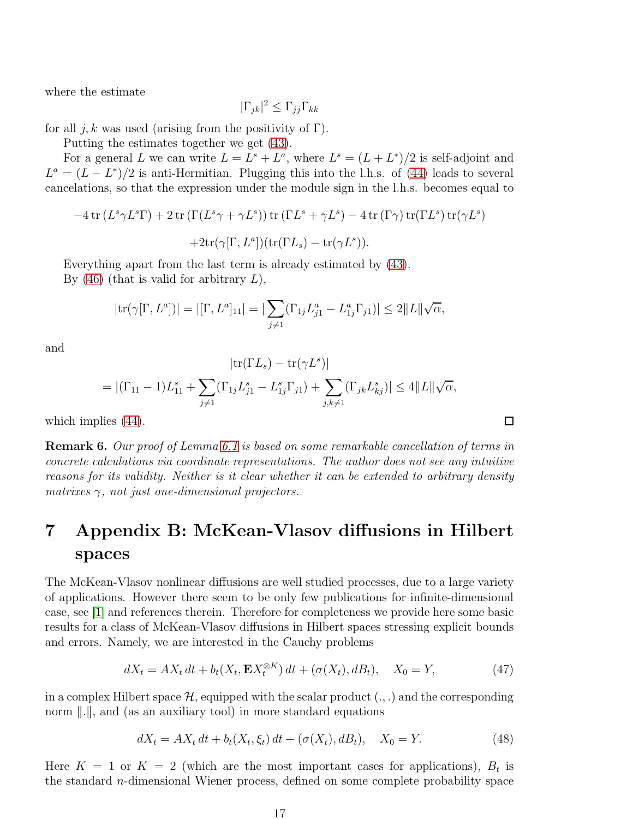where the estimate

$$
|\Gamma_{jk}|^2 \leq \Gamma_{jj} \Gamma_{kk}
$$

for all j, k was used (arising from the positivity of  $\Gamma$ ).

Putting the estimates together we get [\(43\)](#page-14-1).

For a general L we can write  $L = L^s + L^a$ , where  $L^s = (L + L^*)/2$  is self-adjoint and  $L^a = (L - L^*)/2$  is anti-Hermitian. Plugging this into the l.h.s. of [\(44\)](#page-14-2) leads to several cancelations, so that the expression under the module sign in the l.h.s. becomes equal to

$$
-4\operatorname{tr}(L^s\gamma L^s\Gamma) + 2\operatorname{tr}(\Gamma(L^s\gamma + \gamma L^s))\operatorname{tr}(\Gamma L^s + \gamma L^s) - 4\operatorname{tr}(\Gamma\gamma)\operatorname{tr}(\Gamma L^s)\operatorname{tr}(\gamma L^s)
$$

$$
+2\operatorname{tr}(\gamma[\Gamma, L^a])(\operatorname{tr}(\Gamma L_s) - \operatorname{tr}(\gamma L^s)).
$$

Everything apart from the last term is already estimated by [\(43\)](#page-14-1). By  $(46)$  (that is valid for arbitrary L),

$$
|\text{tr}(\gamma[\Gamma, L^a])| = |[\Gamma, L^a]_{11}| = |\sum_{j \neq 1} (\Gamma_{1j} L^a_{j1} - L^a_{1j} \Gamma_{j1})| \leq 2||L||\sqrt{\alpha},
$$

and

$$
|\text{tr}(\Gamma L_s) - \text{tr}(\gamma L^s)|
$$
  
= 
$$
|(\Gamma_{11} - 1)L_{11}^s + \sum_{j \neq 1} (\Gamma_{1j} L_{j1}^s - L_{1j}^s \Gamma_{j1}) + \sum_{j,k \neq 1} (\Gamma_{jk} L_{kj}^s)| \leq 4||L||\sqrt{\alpha},
$$

which implies  $(44)$ .

**Remark 6.** Our proof of Lemma [6.1](#page-14-0) is based on some remarkable cancellation of terms in concrete calculations via coordinate representations. The author does not see any intuitive reasons for its validity. Neither is it clear whether it can be extended to arbitrary density matrixes  $\gamma$ , not just one-dimensional projectors.

# 7 Appendix B: McKean-Vlasov diffusions in Hilbert spaces

The McKean-Vlasov nonlinear diffusions are well studied processes, due to a large variety of applications. However there seem to be only few publications for infinite-dimensional case, see [\[1\]](#page-20-10) and references therein. Therefore for completeness we provide here some basic results for a class of McKean-Vlasov diffusions in Hilbert spaces stressing explicit bounds and errors. Namely, we are interested in the Cauchy problems

<span id="page-16-0"></span>
$$
dX_t = AX_t dt + b_t(X_t, \mathbf{E}X_t^{\otimes K}) dt + (\sigma(X_t), dB_t), \quad X_0 = Y,
$$
\n(47)

in a complex Hilbert space  $\mathcal{H}$ , equipped with the scalar product  $(.,.)$  and the corresponding norm  $\Vert \cdot \Vert$ , and (as an auxiliary tool) in more standard equations

<span id="page-16-1"></span>
$$
dX_t = AX_t dt + b_t(X_t, \xi_t) dt + (\sigma(X_t), dB_t), \quad X_0 = Y.
$$
 (48)

Here  $K = 1$  or  $K = 2$  (which are the most important cases for applications),  $B_t$  is the standard n-dimensional Wiener process, defined on some complete probability space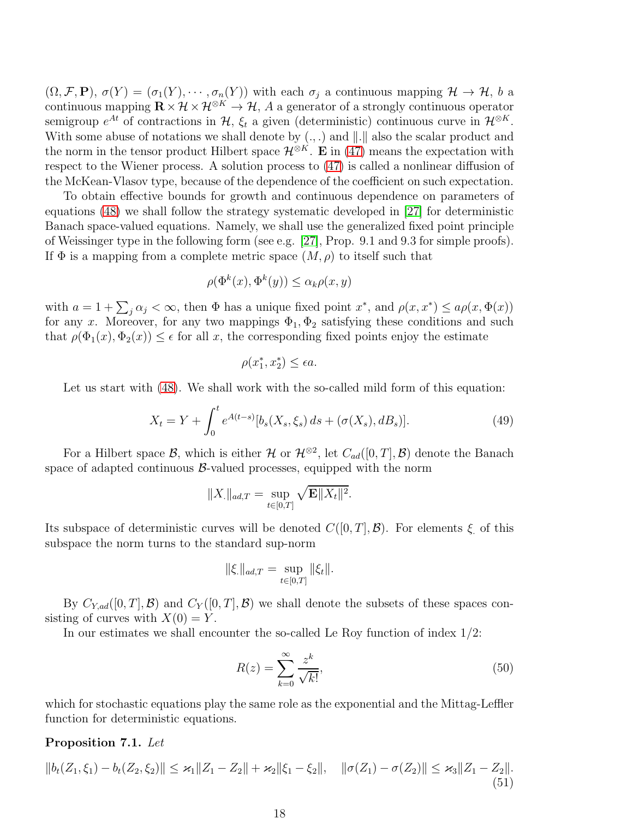$(\Omega, \mathcal{F}, \mathbf{P}), \sigma(Y) = (\sigma_1(Y), \cdots, \sigma_n(Y))$  with each  $\sigma_j$  a continuous mapping  $\mathcal{H} \to \mathcal{H}$ , b a continuous mapping  $\mathbf{R} \times \mathcal{H} \times \mathcal{H}^{\otimes K} \to \mathcal{H}$ , A a generator of a strongly continuous operator semigroup  $e^{At}$  of contractions in  $H$ ,  $\xi_t$  a given (deterministic) continuous curve in  $\mathcal{H}^{\otimes K}$ . With some abuse of notations we shall denote by  $(.,.)$  and  $\|.\|$  also the scalar product and the norm in the tensor product Hilbert space  $\mathcal{H}^{\otimes K}$ . E in [\(47\)](#page-16-0) means the expectation with respect to the Wiener process. A solution process to [\(47\)](#page-16-0) is called a nonlinear diffusion of the McKean-Vlasov type, because of the dependence of the coefficient on such expectation.

To obtain effective bounds for growth and continuous dependence on parameters of equations [\(48\)](#page-16-1) we shall follow the strategy systematic developed in [\[27\]](#page-21-14) for deterministic Banach space-valued equations. Namely, we shall use the generalized fixed point principle of Weissinger type in the following form (see e.g. [\[27\]](#page-21-14), Prop. 9.1 and 9.3 for simple proofs). If  $\Phi$  is a mapping from a complete metric space  $(M, \rho)$  to itself such that

$$
\rho(\Phi^k(x), \Phi^k(y)) \le \alpha_k \rho(x, y)
$$

with  $a = 1 + \sum_j \alpha_j < \infty$ , then  $\Phi$  has a unique fixed point  $x^*$ , and  $\rho(x, x^*) \le a\rho(x, \Phi(x))$ for any x. Moreover, for any two mappings  $\Phi_1$ ,  $\Phi_2$  satisfying these conditions and such that  $\rho(\Phi_1(x), \Phi_2(x)) \leq \epsilon$  for all x, the corresponding fixed points enjoy the estimate

$$
\rho(x_1^*, x_2^*) \le \epsilon a.
$$

Let us start with  $(48)$ . We shall work with the so-called mild form of this equation:

<span id="page-17-1"></span>
$$
X_t = Y + \int_0^t e^{A(t-s)} [b_s(X_s, \xi_s) ds + (\sigma(X_s), dB_s)].
$$
\n(49)

For a Hilbert space B, which is either  $\mathcal{H}$  or  $\mathcal{H}^{\otimes 2}$ , let  $C_{ad}([0,T],\mathcal{B})$  denote the Banach space of adapted continuous  $\beta$ -valued processes, equipped with the norm

$$
||X_{.}||_{ad,T} = \sup_{t \in [0,T]} \sqrt{\mathbf{E}||X_t||^2}.
$$

Its subspace of deterministic curves will be denoted  $C([0, T], \mathcal{B})$ . For elements  $\xi$  of this subspace the norm turns to the standard sup-norm

$$
\|\xi\|_{ad,T} = \sup_{t \in [0,T]} \|\xi_t\|.
$$

By  $C_{Y,ad}([0,T], \mathcal{B})$  and  $C_Y([0,T], \mathcal{B})$  we shall denote the subsets of these spaces consisting of curves with  $X(0) = Y$ .

In our estimates we shall encounter the so-called Le Roy function of index 1/2:

$$
R(z) = \sum_{k=0}^{\infty} \frac{z^k}{\sqrt{k!}},\tag{50}
$$

which for stochastic equations play the same role as the exponential and the Mittag-Leffler function for deterministic equations.

#### <span id="page-17-0"></span>Proposition 7.1. Let

$$
||b_t(Z_1,\xi_1)-b_t(Z_2,\xi_2)|| \leq \varkappa_1||Z_1-Z_2||+\varkappa_2||\xi_1-\xi_2||, \quad ||\sigma(Z_1)-\sigma(Z_2)|| \leq \varkappa_3||Z_1-Z_2||.
$$
\n(51)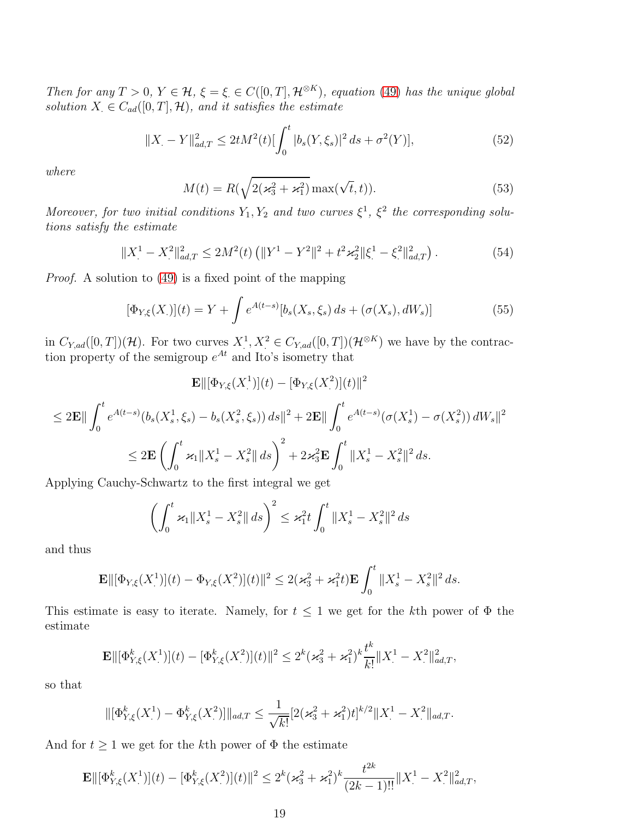Then for any  $T > 0$ ,  $Y \in \mathcal{H}$ ,  $\xi = \xi \in C([0, T], \mathcal{H}^{\otimes K})$ , equation [\(49\)](#page-17-1) has the unique global solution  $X \in C_{ad}([0, T], \mathcal{H})$ , and it satisfies the estimate

$$
||X_{.} - Y||_{ad,T}^{2} \le 2tM^{2}(t)[\int_{0}^{t} |b_{s}(Y,\xi_{s})|^{2} ds + \sigma^{2}(Y)],
$$
\n(52)

where

$$
M(t) = R(\sqrt{2(\varkappa_3^2 + \varkappa_1^2)} \max(\sqrt{t}, t)).
$$
\n(53)

Moreover, for two initial conditions  $Y_1, Y_2$  and two curves  $\xi^1, \xi^2$  the corresponding solutions satisfy the estimate

<span id="page-18-0"></span>
$$
||X_{.}^{1} - X_{.}^{2}||_{ad,T}^{2} \le 2M^{2}(t) \left( ||Y^{1} - Y^{2}||^{2} + t^{2} \varkappa_{2}^{2} ||\xi_{.}^{1} - \xi_{.}^{2}||_{ad,T}^{2} \right).
$$
 (54)

Proof. A solution to [\(49\)](#page-17-1) is a fixed point of the mapping

$$
[\Phi_{Y,\xi}(X)](t) = Y + \int e^{A(t-s)}[b_s(X_s,\xi_s) ds + (\sigma(X_s), dW_s)] \tag{55}
$$

in  $C_{Y,ad}([0,T])(\mathcal{H})$ . For two curves  $X^1, X^2 \in C_{Y,ad}([0,T])(\mathcal{H}^{\otimes K})$  we have by the contraction property of the semigroup  $e^{At}$  and Ito's isometry that

$$
\mathbf{E} \|\left[\Phi_{Y,\xi}(X_{\cdot}^{1})\right](t) - \left[\Phi_{Y,\xi}(X_{\cdot}^{2})\right](t)\|^{2}
$$
\n
$$
\leq 2\mathbf{E} \|\int_{0}^{t} e^{A(t-s)}(b_{s}(X_{s}^{1},\xi_{s}) - b_{s}(X_{s}^{2},\xi_{s})) ds\|^{2} + 2\mathbf{E} \|\int_{0}^{t} e^{A(t-s)}(\sigma(X_{s}^{1}) - \sigma(X_{s}^{2})) dW_{s}\|^{2}
$$
\n
$$
\leq 2\mathbf{E} \left(\int_{0}^{t} \varkappa_{1} \|X_{s}^{1} - X_{s}^{2}\| ds\right)^{2} + 2\varkappa_{3}^{2}\mathbf{E} \int_{0}^{t} \|X_{s}^{1} - X_{s}^{2}\|^{2} ds.
$$

Applying Cauchy-Schwartz to the first integral we get

$$
\left(\int_0^t \varkappa_1 \|X_s^1 - X_s^2\| ds\right)^2 \leq \varkappa_1^2 t \int_0^t \|X_s^1 - X_s^2\|^2 ds
$$

and thus

$$
\mathbf{E} \Vert [\Phi_{Y,\xi}(X^1)](t) - \Phi_{Y,\xi}(X^2)](t) \Vert^2 \leq 2(\varkappa_3^2 + \varkappa_1^2 t) \mathbf{E} \int_0^t \Vert X_s^1 - X_s^2 \Vert^2 ds.
$$

This estimate is easy to iterate. Namely, for  $t \leq 1$  we get for the kth power of  $\Phi$  the estimate

$$
\mathbf{E} \Vert [\Phi_{Y,\xi}^k(X_\cdot^1)](t) - [\Phi_{Y,\xi}^k(X_\cdot^2)](t) \Vert^2 \leq 2^k (\varkappa_3^2 + \varkappa_1^2)^k \frac{t^k}{k!} \Vert X_\cdot^1 - X_\cdot^2 \Vert_{ad,T}^2,
$$

so that

$$
\|[\Phi_{Y,\xi}^k(X_\cdot^1) - \Phi_{Y,\xi}^k(X_\cdot^2)]\|_{ad,T} \le \frac{1}{\sqrt{k!}}[2(\varkappa_3^2 + \varkappa_1^2)t]^{k/2} \|X_\cdot^1 - X_\cdot^2\|_{ad,T}.
$$

And for  $t \geq 1$  we get for the *k*th power of  $\Phi$  the estimate

$$
\mathbf{E} \Vert [\Phi_{Y,\xi}^k(X_\cdot^1)](t) - [\Phi_{Y,\xi}^k(X_\cdot^2)](t) \Vert^2 \leq 2^k (\varkappa_3^2 + \varkappa_1^2)^k \frac{t^{2k}}{(2k-1)!!} \Vert X_\cdot^1 - X_\cdot^2 \Vert_{ad,T}^2,
$$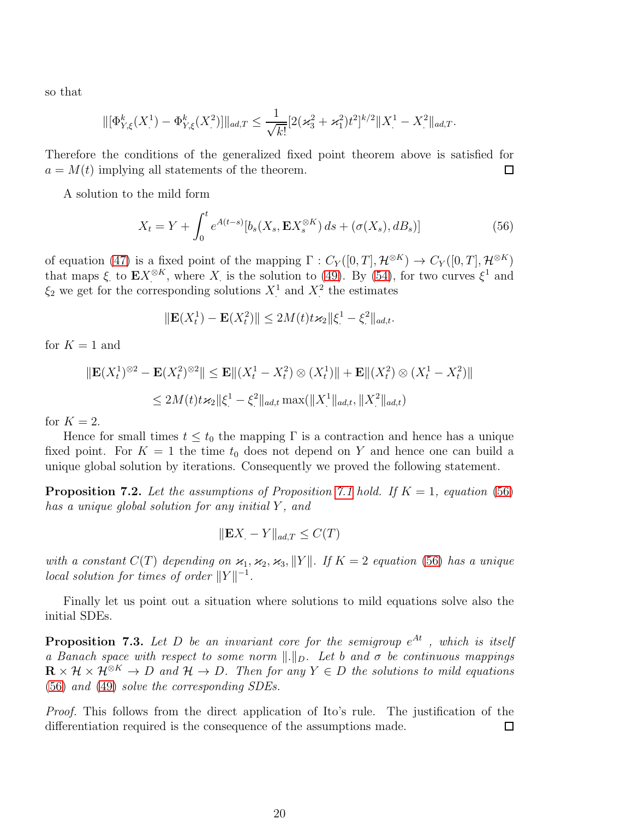so that

$$
\|[\Phi_{Y,\xi}^k(X_\cdot^1) - \Phi_{Y,\xi}^k(X_\cdot^2)]\|_{ad,T} \le \frac{1}{\sqrt{k!}}[2(\varkappa_3^2 + \varkappa_1^2)t^2]^{k/2} \|X_\cdot^1 - X_\cdot^2\|_{ad,T}.
$$

Therefore the conditions of the generalized fixed point theorem above is satisfied for  $a = M(t)$  implying all statements of the theorem.  $\Box$ 

A solution to the mild form

<span id="page-19-1"></span>
$$
X_t = Y + \int_0^t e^{A(t-s)} \left[ b_s(X_s, \mathbf{E} X_s^{\otimes K}) ds + (\sigma(X_s), dB_s) \right]
$$
(56)

of equation [\(47\)](#page-16-0) is a fixed point of the mapping  $\Gamma: C_Y([0,T], \mathcal{H}^{\otimes K}) \to C_Y([0,T], \mathcal{H}^{\otimes K})$ that maps  $\xi$  to  $\mathbf{E} X^{\otimes K}$ , where X is the solution to [\(49\)](#page-17-1). By [\(54\)](#page-18-0), for two curves  $\xi^1$  and  $\xi_2$  we get for the corresponding solutions  $X^1$  and  $X^2$  the estimates

$$
\|\mathbf{E}(X_t^1) - \mathbf{E}(X_t^2)\| \le 2M(t)t\kappa_2 \|\xi_t^1 - \xi_t^2\|_{ad,t}.
$$

for  $K = 1$  and

$$
\|\mathbf{E}(X_t^1)^{\otimes 2} - \mathbf{E}(X_t^2)^{\otimes 2}\| \le \mathbf{E} \|(X_t^1 - X_t^2) \otimes (X_t^1) \| + \mathbf{E} \|(X_t^2) \otimes (X_t^1 - X_t^2) \|
$$
  

$$
\le 2M(t)t\kappa_2 \|\xi^1 - \xi^2\|_{ad,t} \max(\|X^1\|_{ad,t}, \|X^2\|_{ad,t})
$$

for  $K = 2$ .

Hence for small times  $t \leq t_0$  the mapping  $\Gamma$  is a contraction and hence has a unique fixed point. For  $K = 1$  the time  $t_0$  does not depend on Y and hence one can build a unique global solution by iterations. Consequently we proved the following statement.

**Proposition 7.2.** Let the assumptions of Proposition [7.1](#page-17-0) hold. If  $K = 1$ , equation [\(56\)](#page-19-1) has a unique global solution for any initial Y, and

$$
\|\mathbf{E}X - Y\|_{ad,T} \le C(T)
$$

with a constant  $C(T)$  depending on  $\varkappa_1, \varkappa_2, \varkappa_3, ||Y||$ . If  $K = 2$  equation [\(56\)](#page-19-1) has a unique  $local solution for times of order  $||Y||^{-1}$ .$ 

Finally let us point out a situation where solutions to mild equations solve also the initial SDEs.

<span id="page-19-0"></span>**Proposition 7.3.** Let D be an invariant core for the semigroup  $e^{At}$  , which is itself a Banach space with respect to some norm  $\|.\|_D$ . Let b and  $\sigma$  be continuous mappings  $\mathbf{R} \times \mathcal{H} \times \mathcal{H}^{\otimes K} \to D$  and  $\mathcal{H} \to D$ . Then for any  $Y \in D$  the solutions to mild equations [\(56\)](#page-19-1) and [\(49\)](#page-17-1) solve the corresponding SDEs.

Proof. This follows from the direct application of Ito's rule. The justification of the differentiation required is the consequence of the assumptions made.  $\Box$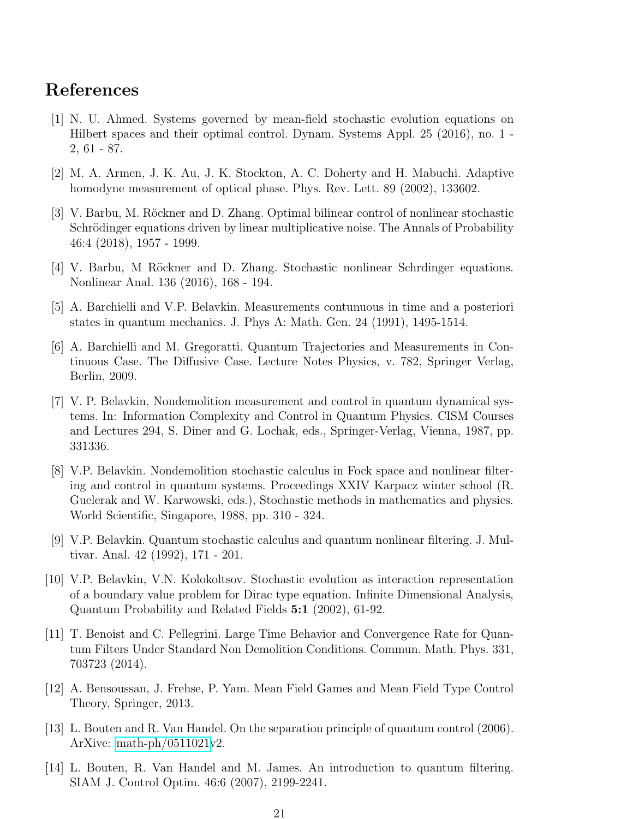## <span id="page-20-10"></span>References

- [1] N. U. Ahmed. Systems governed by mean-field stochastic evolution equations on Hilbert spaces and their optimal control. Dynam. Systems Appl. 25 (2016), no. 1 - 2, 61 - 87.
- <span id="page-20-8"></span><span id="page-20-2"></span>[2] M. A. Armen, J. K. Au, J. K. Stockton, A. C. Doherty and H. Mabuchi. Adaptive homodyne measurement of optical phase. Phys. Rev. Lett. 89 (2002), 133602.
- [3] V. Barbu, M. Röckner and D. Zhang. Optimal bilinear control of nonlinear stochastic Schrödinger equations driven by linear multiplicative noise. The Annals of Probability 46:4 (2018), 1957 - 1999.
- <span id="page-20-7"></span><span id="page-20-1"></span>[4] V. Barbu, M Röckner and D. Zhang. Stochastic nonlinear Schrdinger equations. Nonlinear Anal. 136 (2016), 168 - 194.
- <span id="page-20-9"></span>[5] A. Barchielli and V.P. Belavkin. Measurements contunuous in time and a posteriori states in quantum mechanics. J. Phys A: Math. Gen. 24 (1991), 1495-1514.
- [6] A. Barchielli and M. Gregoratti. Quantum Trajectories and Measurements in Continuous Case. The Diffusive Case. Lecture Notes Physics, v. 782, Springer Verlag, Berlin, 2009.
- <span id="page-20-3"></span>[7] V. P. Belavkin, Nondemolition measurement and control in quantum dynamical systems. In: Information Complexity and Control in Quantum Physics. CISM Courses and Lectures 294, S. Diner and G. Lochak, eds., Springer-Verlag, Vienna, 1987, pp. 331336.
- <span id="page-20-4"></span>[8] V.P. Belavkin. Nondemolition stochastic calculus in Fock space and nonlinear filtering and control in quantum systems. Proceedings XXIV Karpacz winter school (R. Guelerak and W. Karwowski, eds.), Stochastic methods in mathematics and physics. World Scientific, Singapore, 1988, pp. 310 - 324.
- <span id="page-20-5"></span>[9] V.P. Belavkin. Quantum stochastic calculus and quantum nonlinear filtering. J. Multivar. Anal. 42 (1992), 171 - 201.
- <span id="page-20-6"></span>[10] V.P. Belavkin, V.N. Kolokoltsov. Stochastic evolution as interaction representation of a boundary value problem for Dirac type equation. Infinite Dimensional Analysis, Quantum Probability and Related Fields 5:1 (2002), 61-92.
- [11] T. Benoist and C. Pellegrini. Large Time Behavior and Convergence Rate for Quantum Filters Under Standard Non Demolition Conditions. Commun. Math. Phys. 331, 703723 (2014).
- <span id="page-20-0"></span>[12] A. Bensoussan, J. Frehse, P. Yam. Mean Field Games and Mean Field Type Control Theory, Springer, 2013.
- [13] L. Bouten and R. Van Handel. On the separation principle of quantum control (2006). ArXive: [math-ph/0511021v](http://arxiv.org/abs/math-ph/0511021)2.
- [14] L. Bouten, R. Van Handel and M. James. An introduction to quantum filtering. SIAM J. Control Optim. 46:6 (2007), 2199-2241.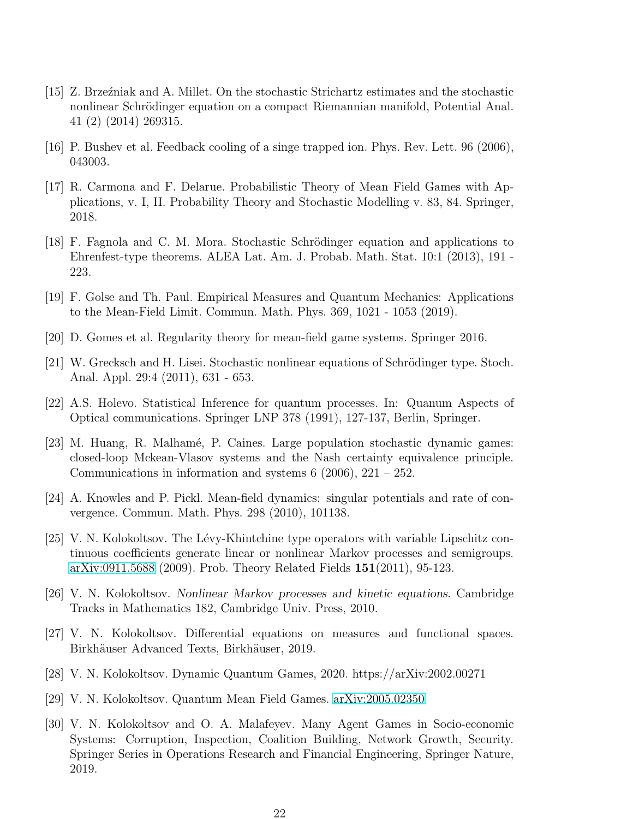- <span id="page-21-8"></span>[15] Z. Brzeźniak and A. Millet. On the stochastic Strichartz estimates and the stochastic nonlinear Schrödinger equation on a compact Riemannian manifold, Potential Anal. 41 (2) (2014) 269315.
- <span id="page-21-11"></span><span id="page-21-4"></span>[16] P. Bushev et al. Feedback cooling of a singe trapped ion. Phys. Rev. Lett. 96 (2006), 043003.
- [17] R. Carmona and F. Delarue. Probabilistic Theory of Mean Field Games with Applications, v. I, II. Probability Theory and Stochastic Modelling v. 83, 84. Springer, 2018.
- [18] F. Fagnola and C. M. Mora. Stochastic Schrödinger equation and applications to Ehrenfest-type theorems. ALEA Lat. Am. J. Probab. Math. Stat. 10:1 (2013), 191 - 223.
- <span id="page-21-5"></span><span id="page-21-0"></span>[19] F. Golse and Th. Paul. Empirical Measures and Quantum Mechanics: Applications to the Mean-Field Limit. Commun. Math. Phys. 369, 1021 - 1053 (2019).
- <span id="page-21-9"></span>[20] D. Gomes et al. Regularity theory for mean-field game systems. Springer 2016.
- [21] W. Grecksch and H. Lisei. Stochastic nonlinear equations of Schrödinger type. Stoch. Anal. Appl. 29:4 (2011), 631 - 653.
- <span id="page-21-10"></span>[22] A.S. Holevo. Statistical Inference for quantum processes. In: Quanum Aspects of Optical communications. Springer LNP 378 (1991), 127-137, Berlin, Springer.
- <span id="page-21-3"></span>[23] M. Huang, R. Malhamé, P. Caines. Large population stochastic dynamic games: closed-loop Mckean-Vlasov systems and the Nash certainty equivalence principle. Communications in information and systems  $6$  (2006), 221 – 252.
- <span id="page-21-13"></span>[24] A. Knowles and P. Pickl. Mean-field dynamics: singular potentials and rate of convergence. Commun. Math. Phys. 298 (2010), 101138.
- <span id="page-21-12"></span> $[25]$  V. N. Kolokoltsov. The Lévy-Khintchine type operators with variable Lipschitz continuous coefficients generate linear or nonlinear Markov processes and semigroups. [arXiv:0911.5688](http://arxiv.org/abs/0911.5688) (2009). Prob. Theory Related Fields 151(2011), 95-123.
- <span id="page-21-14"></span><span id="page-21-7"></span>[26] V. N. Kolokoltsov. Nonlinear Markov processes and kinetic equations. Cambridge Tracks in Mathematics 182, Cambridge Univ. Press, 2010.
- [27] V. N. Kolokoltsov. Differential equations on measures and functional spaces. Birkhäuser Advanced Texts, Birkhäuser, 2019.
- <span id="page-21-2"></span><span id="page-21-1"></span>[28] V. N. Kolokoltsov. Dynamic Quantum Games, 2020. https://arXiv:2002.00271
- <span id="page-21-6"></span>[29] V. N. Kolokoltsov. Quantum Mean Field Games. [arXiv:2005.02350](http://arxiv.org/abs/2005.02350)
- [30] V. N. Kolokoltsov and O. A. Malafeyev. Many Agent Games in Socio-economic Systems: Corruption, Inspection, Coalition Building, Network Growth, Security. Springer Series in Operations Research and Financial Engineering, Springer Nature, 2019.